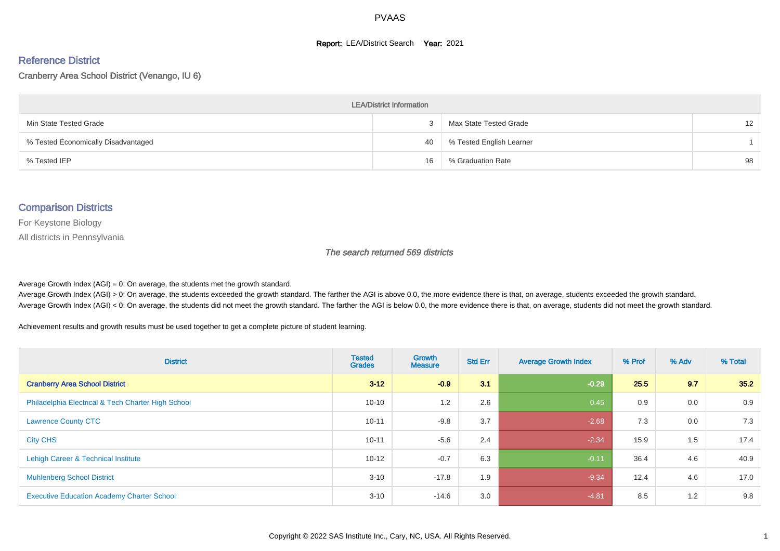#### **Report: LEA/District Search Year: 2021**

#### Reference District

#### Cranberry Area School District (Venango, IU 6)

| <b>LEA/District Information</b>     |    |                          |                 |  |  |  |  |  |  |  |
|-------------------------------------|----|--------------------------|-----------------|--|--|--|--|--|--|--|
| Min State Tested Grade              |    | Max State Tested Grade   | 12 <sup>2</sup> |  |  |  |  |  |  |  |
| % Tested Economically Disadvantaged | 40 | % Tested English Learner |                 |  |  |  |  |  |  |  |
| % Tested IEP                        | 16 | % Graduation Rate        | 98              |  |  |  |  |  |  |  |

#### Comparison Districts

For Keystone Biology

All districts in Pennsylvania

The search returned 569 districts

Average Growth Index  $(AGI) = 0$ : On average, the students met the growth standard.

Average Growth Index (AGI) > 0: On average, the students exceeded the growth standard. The farther the AGI is above 0.0, the more evidence there is that, on average, students exceeded the growth standard. Average Growth Index (AGI) < 0: On average, the students did not meet the growth standard. The farther the AGI is below 0.0, the more evidence there is that, on average, students did not meet the growth standard.

Achievement results and growth results must be used together to get a complete picture of student learning.

| <b>District</b>                                    | <b>Tested</b><br><b>Grades</b> | Growth<br><b>Measure</b> | <b>Std Err</b> | <b>Average Growth Index</b> | % Prof | % Adv | % Total |
|----------------------------------------------------|--------------------------------|--------------------------|----------------|-----------------------------|--------|-------|---------|
| <b>Cranberry Area School District</b>              | $3 - 12$                       | $-0.9$                   | 3.1            | $-0.29$                     | 25.5   | 9.7   | 35.2    |
| Philadelphia Electrical & Tech Charter High School | $10 - 10$                      | 1.2                      | 2.6            | 0.45                        | 0.9    | 0.0   | 0.9     |
| <b>Lawrence County CTC</b>                         | $10 - 11$                      | $-9.8$                   | 3.7            | $-2.68$                     | 7.3    | 0.0   | 7.3     |
| <b>City CHS</b>                                    | $10 - 11$                      | $-5.6$                   | 2.4            | $-2.34$                     | 15.9   | 1.5   | 17.4    |
| Lehigh Career & Technical Institute                | $10 - 12$                      | $-0.7$                   | 6.3            | $-0.11$                     | 36.4   | 4.6   | 40.9    |
| <b>Muhlenberg School District</b>                  | $3 - 10$                       | $-17.8$                  | 1.9            | $-9.34$                     | 12.4   | 4.6   | 17.0    |
| <b>Executive Education Academy Charter School</b>  | $3 - 10$                       | $-14.6$                  | 3.0            | $-4.81$                     | 8.5    | 1.2   | 9.8     |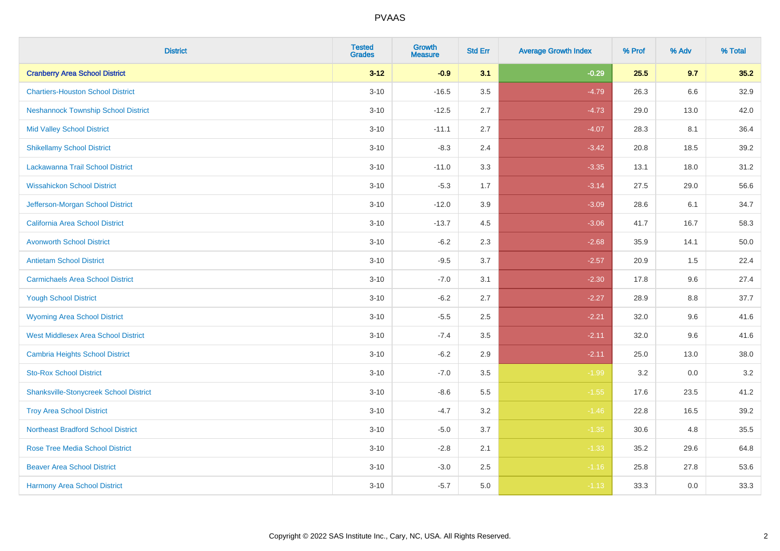| <b>District</b>                               | <b>Tested</b><br><b>Grades</b> | <b>Growth</b><br><b>Measure</b> | <b>Std Err</b> | <b>Average Growth Index</b> | % Prof | % Adv | % Total |
|-----------------------------------------------|--------------------------------|---------------------------------|----------------|-----------------------------|--------|-------|---------|
| <b>Cranberry Area School District</b>         | $3 - 12$                       | $-0.9$                          | 3.1            | $-0.29$                     | 25.5   | 9.7   | 35.2    |
| <b>Chartiers-Houston School District</b>      | $3 - 10$                       | $-16.5$                         | 3.5            | $-4.79$                     | 26.3   | 6.6   | 32.9    |
| <b>Neshannock Township School District</b>    | $3 - 10$                       | $-12.5$                         | 2.7            | $-4.73$                     | 29.0   | 13.0  | 42.0    |
| <b>Mid Valley School District</b>             | $3 - 10$                       | $-11.1$                         | 2.7            | $-4.07$                     | 28.3   | 8.1   | 36.4    |
| <b>Shikellamy School District</b>             | $3 - 10$                       | $-8.3$                          | 2.4            | $-3.42$                     | 20.8   | 18.5  | 39.2    |
| Lackawanna Trail School District              | $3 - 10$                       | $-11.0$                         | 3.3            | $-3.35$                     | 13.1   | 18.0  | 31.2    |
| <b>Wissahickon School District</b>            | $3 - 10$                       | $-5.3$                          | 1.7            | $-3.14$                     | 27.5   | 29.0  | 56.6    |
| Jefferson-Morgan School District              | $3 - 10$                       | $-12.0$                         | 3.9            | $-3.09$                     | 28.6   | 6.1   | 34.7    |
| California Area School District               | $3 - 10$                       | $-13.7$                         | 4.5            | $-3.06$                     | 41.7   | 16.7  | 58.3    |
| <b>Avonworth School District</b>              | $3 - 10$                       | $-6.2$                          | 2.3            | $-2.68$                     | 35.9   | 14.1  | 50.0    |
| <b>Antietam School District</b>               | $3 - 10$                       | $-9.5$                          | 3.7            | $-2.57$                     | 20.9   | 1.5   | 22.4    |
| <b>Carmichaels Area School District</b>       | $3 - 10$                       | $-7.0$                          | 3.1            | $-2.30$                     | 17.8   | 9.6   | 27.4    |
| <b>Yough School District</b>                  | $3 - 10$                       | $-6.2$                          | 2.7            | $-2.27$                     | 28.9   | 8.8   | 37.7    |
| <b>Wyoming Area School District</b>           | $3 - 10$                       | $-5.5$                          | 2.5            | $-2.21$                     | 32.0   | 9.6   | 41.6    |
| <b>West Middlesex Area School District</b>    | $3 - 10$                       | $-7.4$                          | 3.5            | $-2.11$                     | 32.0   | 9.6   | 41.6    |
| <b>Cambria Heights School District</b>        | $3 - 10$                       | $-6.2$                          | 2.9            | $-2.11$                     | 25.0   | 13.0  | 38.0    |
| <b>Sto-Rox School District</b>                | $3 - 10$                       | $-7.0$                          | 3.5            | $-1.99$                     | 3.2    | 0.0   | $3.2\,$ |
| <b>Shanksville-Stonycreek School District</b> | $3 - 10$                       | $-8.6$                          | 5.5            | $-1.55$                     | 17.6   | 23.5  | 41.2    |
| <b>Troy Area School District</b>              | $3 - 10$                       | $-4.7$                          | 3.2            | $-1.46$                     | 22.8   | 16.5  | 39.2    |
| <b>Northeast Bradford School District</b>     | $3 - 10$                       | $-5.0$                          | 3.7            | $-1.35$                     | 30.6   | 4.8   | 35.5    |
| <b>Rose Tree Media School District</b>        | $3 - 10$                       | $-2.8$                          | 2.1            | $-1.33$                     | 35.2   | 29.6  | 64.8    |
| <b>Beaver Area School District</b>            | $3 - 10$                       | $-3.0$                          | 2.5            | $-1.16$                     | 25.8   | 27.8  | 53.6    |
| <b>Harmony Area School District</b>           | $3 - 10$                       | $-5.7$                          | 5.0            | $-1.13$                     | 33.3   | 0.0   | 33.3    |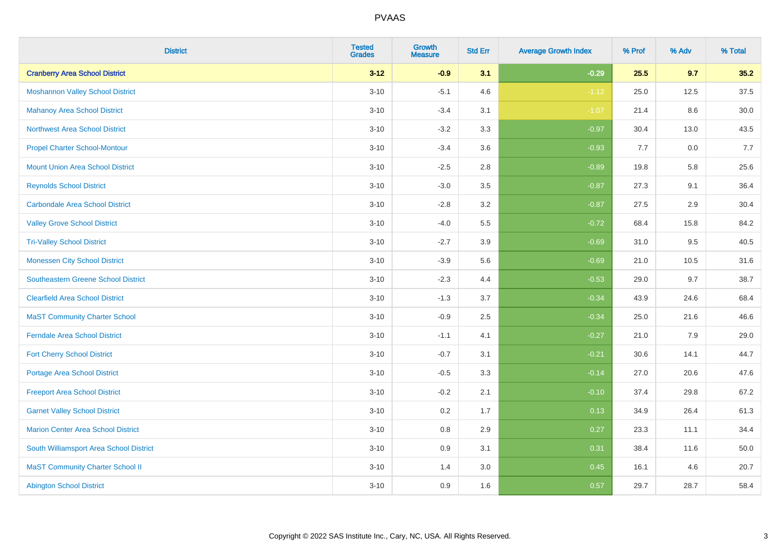| <b>District</b>                            | <b>Tested</b><br><b>Grades</b> | <b>Growth</b><br><b>Measure</b> | <b>Std Err</b> | <b>Average Growth Index</b> | % Prof | % Adv | % Total |
|--------------------------------------------|--------------------------------|---------------------------------|----------------|-----------------------------|--------|-------|---------|
| <b>Cranberry Area School District</b>      | $3 - 12$                       | $-0.9$                          | 3.1            | $-0.29$                     | 25.5   | 9.7   | 35.2    |
| <b>Moshannon Valley School District</b>    | $3 - 10$                       | $-5.1$                          | 4.6            | $-1.12$                     | 25.0   | 12.5  | 37.5    |
| <b>Mahanoy Area School District</b>        | $3 - 10$                       | $-3.4$                          | 3.1            | $-1.07$                     | 21.4   | 8.6   | 30.0    |
| <b>Northwest Area School District</b>      | $3 - 10$                       | $-3.2$                          | 3.3            | $-0.97$                     | 30.4   | 13.0  | 43.5    |
| <b>Propel Charter School-Montour</b>       | $3 - 10$                       | $-3.4$                          | 3.6            | $-0.93$                     | 7.7    | 0.0   | 7.7     |
| <b>Mount Union Area School District</b>    | $3 - 10$                       | $-2.5$                          | 2.8            | $-0.89$                     | 19.8   | 5.8   | 25.6    |
| <b>Reynolds School District</b>            | $3 - 10$                       | $-3.0$                          | 3.5            | $-0.87$                     | 27.3   | 9.1   | 36.4    |
| <b>Carbondale Area School District</b>     | $3 - 10$                       | $-2.8$                          | 3.2            | $-0.87$                     | 27.5   | 2.9   | 30.4    |
| <b>Valley Grove School District</b>        | $3 - 10$                       | $-4.0$                          | 5.5            | $-0.72$                     | 68.4   | 15.8  | 84.2    |
| <b>Tri-Valley School District</b>          | $3 - 10$                       | $-2.7$                          | 3.9            | $-0.69$                     | 31.0   | 9.5   | 40.5    |
| <b>Monessen City School District</b>       | $3 - 10$                       | $-3.9$                          | 5.6            | $-0.69$                     | 21.0   | 10.5  | 31.6    |
| <b>Southeastern Greene School District</b> | $3 - 10$                       | $-2.3$                          | 4.4            | $-0.53$                     | 29.0   | 9.7   | 38.7    |
| <b>Clearfield Area School District</b>     | $3 - 10$                       | $-1.3$                          | 3.7            | $-0.34$                     | 43.9   | 24.6  | 68.4    |
| <b>MaST Community Charter School</b>       | $3 - 10$                       | $-0.9$                          | 2.5            | $-0.34$                     | 25.0   | 21.6  | 46.6    |
| <b>Ferndale Area School District</b>       | $3 - 10$                       | $-1.1$                          | 4.1            | $-0.27$                     | 21.0   | 7.9   | 29.0    |
| <b>Fort Cherry School District</b>         | $3 - 10$                       | $-0.7$                          | 3.1            | $-0.21$                     | 30.6   | 14.1  | 44.7    |
| Portage Area School District               | $3 - 10$                       | $-0.5$                          | 3.3            | $-0.14$                     | 27.0   | 20.6  | 47.6    |
| <b>Freeport Area School District</b>       | $3 - 10$                       | $-0.2$                          | 2.1            | $-0.10$                     | 37.4   | 29.8  | 67.2    |
| <b>Garnet Valley School District</b>       | $3 - 10$                       | 0.2                             | 1.7            | 0.13                        | 34.9   | 26.4  | 61.3    |
| <b>Marion Center Area School District</b>  | $3 - 10$                       | 0.8                             | 2.9            | 0.27                        | 23.3   | 11.1  | 34.4    |
| South Williamsport Area School District    | $3 - 10$                       | 0.9                             | 3.1            | 0.31                        | 38.4   | 11.6  | 50.0    |
| <b>MaST Community Charter School II</b>    | $3 - 10$                       | 1.4                             | 3.0            | 0.45                        | 16.1   | 4.6   | 20.7    |
| <b>Abington School District</b>            | $3 - 10$                       | 0.9                             | 1.6            | 0.57                        | 29.7   | 28.7  | 58.4    |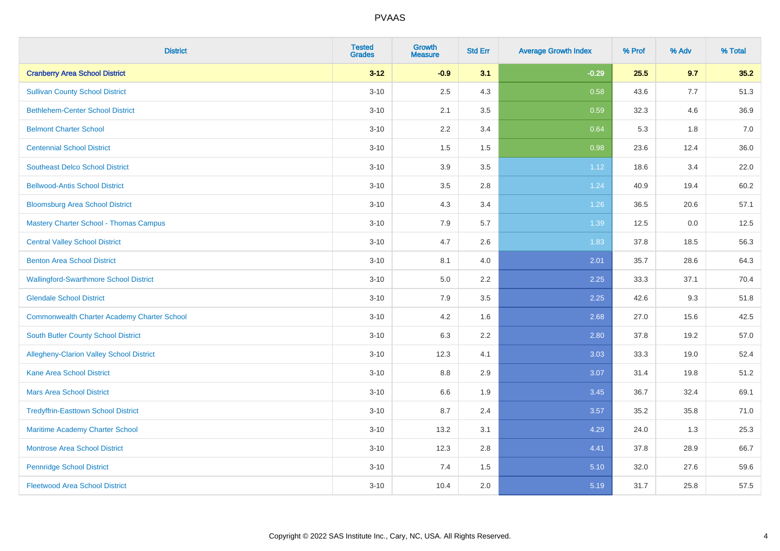| <b>District</b>                                    | <b>Tested</b><br><b>Grades</b> | <b>Growth</b><br><b>Measure</b> | <b>Std Err</b> | <b>Average Growth Index</b> | % Prof | % Adv | % Total |
|----------------------------------------------------|--------------------------------|---------------------------------|----------------|-----------------------------|--------|-------|---------|
| <b>Cranberry Area School District</b>              | $3 - 12$                       | $-0.9$                          | 3.1            | $-0.29$                     | 25.5   | 9.7   | 35.2    |
| <b>Sullivan County School District</b>             | $3 - 10$                       | 2.5                             | 4.3            | 0.58                        | 43.6   | 7.7   | 51.3    |
| <b>Bethlehem-Center School District</b>            | $3 - 10$                       | 2.1                             | 3.5            | 0.59                        | 32.3   | 4.6   | 36.9    |
| <b>Belmont Charter School</b>                      | $3 - 10$                       | 2.2                             | 3.4            | 0.64                        | 5.3    | 1.8   | 7.0     |
| <b>Centennial School District</b>                  | $3 - 10$                       | 1.5                             | 1.5            | 0.98                        | 23.6   | 12.4  | 36.0    |
| <b>Southeast Delco School District</b>             | $3 - 10$                       | 3.9                             | 3.5            | 1.12                        | 18.6   | 3.4   | 22.0    |
| <b>Bellwood-Antis School District</b>              | $3 - 10$                       | 3.5                             | 2.8            | 1.24                        | 40.9   | 19.4  | 60.2    |
| <b>Bloomsburg Area School District</b>             | $3 - 10$                       | 4.3                             | 3.4            | 1.26                        | 36.5   | 20.6  | 57.1    |
| <b>Mastery Charter School - Thomas Campus</b>      | $3 - 10$                       | 7.9                             | 5.7            | 1.39                        | 12.5   | 0.0   | 12.5    |
| <b>Central Valley School District</b>              | $3 - 10$                       | 4.7                             | 2.6            | 1.83                        | 37.8   | 18.5  | 56.3    |
| <b>Benton Area School District</b>                 | $3 - 10$                       | 8.1                             | 4.0            | 2.01                        | 35.7   | 28.6  | 64.3    |
| <b>Wallingford-Swarthmore School District</b>      | $3 - 10$                       | 5.0                             | 2.2            | 2.25                        | 33.3   | 37.1  | 70.4    |
| <b>Glendale School District</b>                    | $3 - 10$                       | 7.9                             | 3.5            | 2.25                        | 42.6   | 9.3   | 51.8    |
| <b>Commonwealth Charter Academy Charter School</b> | $3 - 10$                       | 4.2                             | 1.6            | 2.68                        | 27.0   | 15.6  | 42.5    |
| South Butler County School District                | $3 - 10$                       | 6.3                             | 2.2            | 2.80                        | 37.8   | 19.2  | 57.0    |
| Allegheny-Clarion Valley School District           | $3 - 10$                       | 12.3                            | 4.1            | 3.03                        | 33.3   | 19.0  | 52.4    |
| <b>Kane Area School District</b>                   | $3 - 10$                       | 8.8                             | 2.9            | 3.07                        | 31.4   | 19.8  | 51.2    |
| <b>Mars Area School District</b>                   | $3 - 10$                       | 6.6                             | 1.9            | 3.45                        | 36.7   | 32.4  | 69.1    |
| <b>Tredyffrin-Easttown School District</b>         | $3 - 10$                       | 8.7                             | 2.4            | 3.57                        | 35.2   | 35.8  | 71.0    |
| Maritime Academy Charter School                    | $3 - 10$                       | 13.2                            | 3.1            | 4.29                        | 24.0   | 1.3   | 25.3    |
| <b>Montrose Area School District</b>               | $3 - 10$                       | 12.3                            | 2.8            | 4.41                        | 37.8   | 28.9  | 66.7    |
| <b>Pennridge School District</b>                   | $3 - 10$                       | 7.4                             | 1.5            | 5.10                        | 32.0   | 27.6  | 59.6    |
| <b>Fleetwood Area School District</b>              | $3 - 10$                       | 10.4                            | 2.0            | 5.19                        | 31.7   | 25.8  | 57.5    |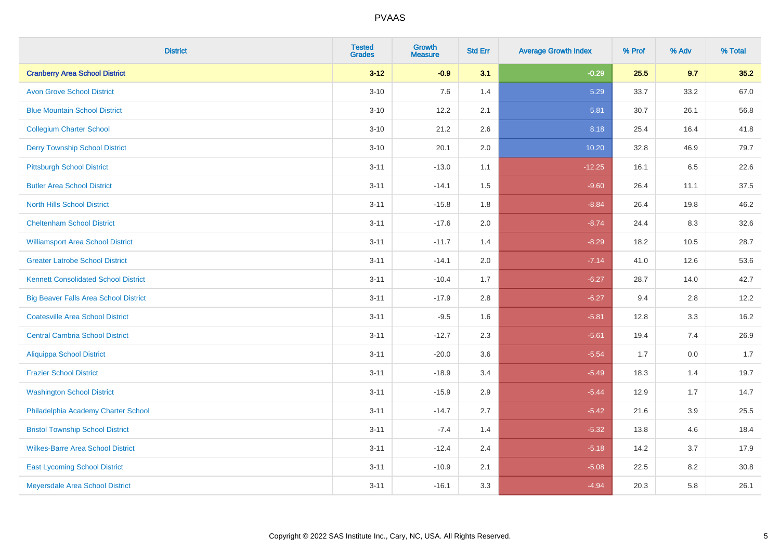| <b>District</b>                              | <b>Tested</b><br><b>Grades</b> | <b>Growth</b><br><b>Measure</b> | <b>Std Err</b> | <b>Average Growth Index</b> | % Prof | % Adv | % Total |
|----------------------------------------------|--------------------------------|---------------------------------|----------------|-----------------------------|--------|-------|---------|
| <b>Cranberry Area School District</b>        | $3 - 12$                       | $-0.9$                          | 3.1            | $-0.29$                     | 25.5   | 9.7   | 35.2    |
| <b>Avon Grove School District</b>            | $3 - 10$                       | 7.6                             | 1.4            | 5.29                        | 33.7   | 33.2  | 67.0    |
| <b>Blue Mountain School District</b>         | $3 - 10$                       | 12.2                            | 2.1            | 5.81                        | 30.7   | 26.1  | 56.8    |
| <b>Collegium Charter School</b>              | $3 - 10$                       | 21.2                            | 2.6            | 8.18                        | 25.4   | 16.4  | 41.8    |
| <b>Derry Township School District</b>        | $3 - 10$                       | 20.1                            | 2.0            | 10.20                       | 32.8   | 46.9  | 79.7    |
| <b>Pittsburgh School District</b>            | $3 - 11$                       | $-13.0$                         | 1.1            | $-12.25$                    | 16.1   | 6.5   | 22.6    |
| <b>Butler Area School District</b>           | $3 - 11$                       | $-14.1$                         | 1.5            | $-9.60$                     | 26.4   | 11.1  | 37.5    |
| <b>North Hills School District</b>           | $3 - 11$                       | $-15.8$                         | 1.8            | $-8.84$                     | 26.4   | 19.8  | 46.2    |
| <b>Cheltenham School District</b>            | $3 - 11$                       | $-17.6$                         | 2.0            | $-8.74$                     | 24.4   | 8.3   | 32.6    |
| <b>Williamsport Area School District</b>     | $3 - 11$                       | $-11.7$                         | 1.4            | $-8.29$                     | 18.2   | 10.5  | 28.7    |
| <b>Greater Latrobe School District</b>       | $3 - 11$                       | $-14.1$                         | 2.0            | $-7.14$                     | 41.0   | 12.6  | 53.6    |
| <b>Kennett Consolidated School District</b>  | $3 - 11$                       | $-10.4$                         | 1.7            | $-6.27$                     | 28.7   | 14.0  | 42.7    |
| <b>Big Beaver Falls Area School District</b> | $3 - 11$                       | $-17.9$                         | 2.8            | $-6.27$                     | 9.4    | 2.8   | 12.2    |
| <b>Coatesville Area School District</b>      | $3 - 11$                       | $-9.5$                          | 1.6            | $-5.81$                     | 12.8   | 3.3   | 16.2    |
| <b>Central Cambria School District</b>       | $3 - 11$                       | $-12.7$                         | 2.3            | $-5.61$                     | 19.4   | 7.4   | 26.9    |
| <b>Aliquippa School District</b>             | $3 - 11$                       | $-20.0$                         | 3.6            | $-5.54$                     | 1.7    | 0.0   | 1.7     |
| <b>Frazier School District</b>               | $3 - 11$                       | $-18.9$                         | 3.4            | $-5.49$                     | 18.3   | 1.4   | 19.7    |
| <b>Washington School District</b>            | $3 - 11$                       | $-15.9$                         | 2.9            | $-5.44$                     | 12.9   | 1.7   | 14.7    |
| Philadelphia Academy Charter School          | $3 - 11$                       | $-14.7$                         | 2.7            | $-5.42$                     | 21.6   | 3.9   | 25.5    |
| <b>Bristol Township School District</b>      | $3 - 11$                       | $-7.4$                          | 1.4            | $-5.32$                     | 13.8   | 4.6   | 18.4    |
| <b>Wilkes-Barre Area School District</b>     | $3 - 11$                       | $-12.4$                         | 2.4            | $-5.18$                     | 14.2   | 3.7   | 17.9    |
| <b>East Lycoming School District</b>         | $3 - 11$                       | $-10.9$                         | 2.1            | $-5.08$                     | 22.5   | 8.2   | 30.8    |
| Meyersdale Area School District              | $3 - 11$                       | $-16.1$                         | 3.3            | $-4.94$                     | 20.3   | 5.8   | 26.1    |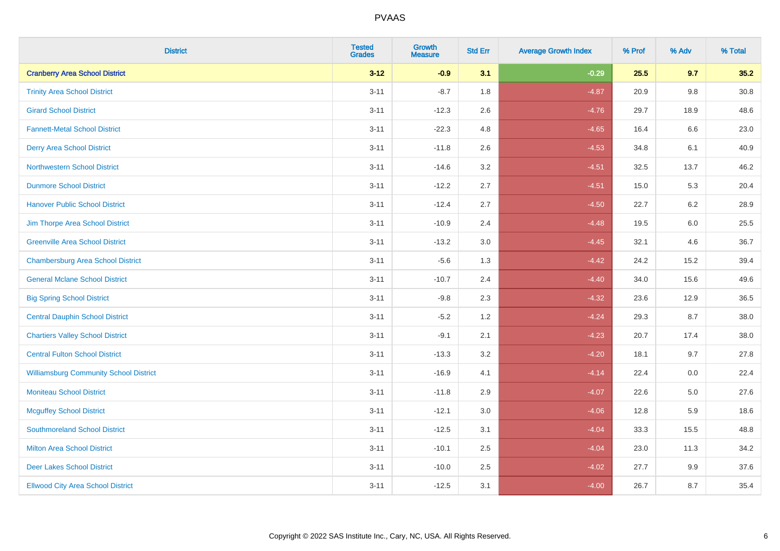| <b>District</b>                               | <b>Tested</b><br><b>Grades</b> | <b>Growth</b><br><b>Measure</b> | <b>Std Err</b> | <b>Average Growth Index</b> | % Prof | % Adv   | % Total |
|-----------------------------------------------|--------------------------------|---------------------------------|----------------|-----------------------------|--------|---------|---------|
| <b>Cranberry Area School District</b>         | $3 - 12$                       | $-0.9$                          | 3.1            | $-0.29$                     | 25.5   | 9.7     | 35.2    |
| <b>Trinity Area School District</b>           | $3 - 11$                       | $-8.7$                          | 1.8            | $-4.87$                     | 20.9   | $9.8\,$ | 30.8    |
| <b>Girard School District</b>                 | $3 - 11$                       | $-12.3$                         | 2.6            | $-4.76$                     | 29.7   | 18.9    | 48.6    |
| <b>Fannett-Metal School District</b>          | $3 - 11$                       | $-22.3$                         | 4.8            | $-4.65$                     | 16.4   | 6.6     | 23.0    |
| <b>Derry Area School District</b>             | $3 - 11$                       | $-11.8$                         | 2.6            | $-4.53$                     | 34.8   | 6.1     | 40.9    |
| <b>Northwestern School District</b>           | $3 - 11$                       | $-14.6$                         | 3.2            | $-4.51$                     | 32.5   | 13.7    | 46.2    |
| <b>Dunmore School District</b>                | $3 - 11$                       | $-12.2$                         | 2.7            | $-4.51$                     | 15.0   | 5.3     | 20.4    |
| <b>Hanover Public School District</b>         | $3 - 11$                       | $-12.4$                         | 2.7            | $-4.50$                     | 22.7   | 6.2     | 28.9    |
| Jim Thorpe Area School District               | $3 - 11$                       | $-10.9$                         | 2.4            | $-4.48$                     | 19.5   | 6.0     | 25.5    |
| <b>Greenville Area School District</b>        | $3 - 11$                       | $-13.2$                         | $3.0\,$        | $-4.45$                     | 32.1   | 4.6     | 36.7    |
| <b>Chambersburg Area School District</b>      | $3 - 11$                       | $-5.6$                          | 1.3            | $-4.42$                     | 24.2   | 15.2    | 39.4    |
| <b>General Mclane School District</b>         | $3 - 11$                       | $-10.7$                         | 2.4            | $-4.40$                     | 34.0   | 15.6    | 49.6    |
| <b>Big Spring School District</b>             | $3 - 11$                       | $-9.8$                          | 2.3            | $-4.32$                     | 23.6   | 12.9    | 36.5    |
| <b>Central Dauphin School District</b>        | $3 - 11$                       | $-5.2$                          | 1.2            | $-4.24$                     | 29.3   | 8.7     | 38.0    |
| <b>Chartiers Valley School District</b>       | $3 - 11$                       | $-9.1$                          | 2.1            | $-4.23$                     | 20.7   | 17.4    | 38.0    |
| <b>Central Fulton School District</b>         | $3 - 11$                       | $-13.3$                         | 3.2            | $-4.20$                     | 18.1   | 9.7     | 27.8    |
| <b>Williamsburg Community School District</b> | $3 - 11$                       | $-16.9$                         | 4.1            | $-4.14$                     | 22.4   | 0.0     | 22.4    |
| <b>Moniteau School District</b>               | $3 - 11$                       | $-11.8$                         | 2.9            | $-4.07$                     | 22.6   | 5.0     | 27.6    |
| <b>Mcguffey School District</b>               | $3 - 11$                       | $-12.1$                         | 3.0            | $-4.06$                     | 12.8   | 5.9     | 18.6    |
| <b>Southmoreland School District</b>          | $3 - 11$                       | $-12.5$                         | 3.1            | $-4.04$                     | 33.3   | 15.5    | 48.8    |
| <b>Milton Area School District</b>            | $3 - 11$                       | $-10.1$                         | 2.5            | $-4.04$                     | 23.0   | 11.3    | 34.2    |
| <b>Deer Lakes School District</b>             | $3 - 11$                       | $-10.0$                         | 2.5            | $-4.02$                     | 27.7   | 9.9     | 37.6    |
| <b>Ellwood City Area School District</b>      | $3 - 11$                       | $-12.5$                         | 3.1            | $-4.00$                     | 26.7   | 8.7     | 35.4    |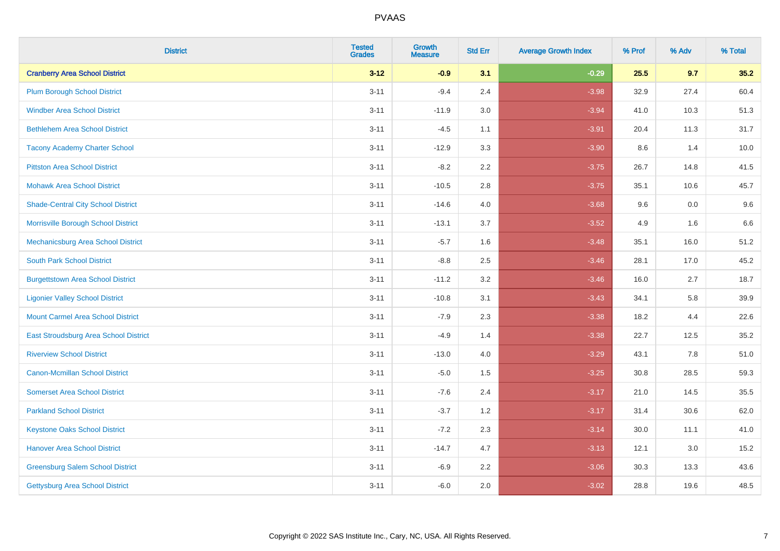| <b>District</b>                           | <b>Tested</b><br><b>Grades</b> | <b>Growth</b><br><b>Measure</b> | <b>Std Err</b> | <b>Average Growth Index</b> | % Prof | % Adv | % Total |
|-------------------------------------------|--------------------------------|---------------------------------|----------------|-----------------------------|--------|-------|---------|
| <b>Cranberry Area School District</b>     | $3 - 12$                       | $-0.9$                          | 3.1            | $-0.29$                     | 25.5   | 9.7   | 35.2    |
| <b>Plum Borough School District</b>       | $3 - 11$                       | $-9.4$                          | 2.4            | $-3.98$                     | 32.9   | 27.4  | 60.4    |
| <b>Windber Area School District</b>       | $3 - 11$                       | $-11.9$                         | 3.0            | $-3.94$                     | 41.0   | 10.3  | 51.3    |
| <b>Bethlehem Area School District</b>     | $3 - 11$                       | $-4.5$                          | 1.1            | $-3.91$                     | 20.4   | 11.3  | 31.7    |
| <b>Tacony Academy Charter School</b>      | $3 - 11$                       | $-12.9$                         | 3.3            | $-3.90$                     | 8.6    | 1.4   | 10.0    |
| <b>Pittston Area School District</b>      | $3 - 11$                       | $-8.2$                          | 2.2            | $-3.75$                     | 26.7   | 14.8  | 41.5    |
| <b>Mohawk Area School District</b>        | $3 - 11$                       | $-10.5$                         | $2.8\,$        | $-3.75$                     | 35.1   | 10.6  | 45.7    |
| <b>Shade-Central City School District</b> | $3 - 11$                       | $-14.6$                         | 4.0            | $-3.68$                     | 9.6    | 0.0   | 9.6     |
| Morrisville Borough School District       | $3 - 11$                       | $-13.1$                         | 3.7            | $-3.52$                     | 4.9    | 1.6   | 6.6     |
| Mechanicsburg Area School District        | $3 - 11$                       | $-5.7$                          | 1.6            | $-3.48$                     | 35.1   | 16.0  | 51.2    |
| <b>South Park School District</b>         | $3 - 11$                       | $-8.8$                          | 2.5            | $-3.46$                     | 28.1   | 17.0  | 45.2    |
| <b>Burgettstown Area School District</b>  | $3 - 11$                       | $-11.2$                         | 3.2            | $-3.46$                     | 16.0   | 2.7   | 18.7    |
| <b>Ligonier Valley School District</b>    | $3 - 11$                       | $-10.8$                         | 3.1            | $-3.43$                     | 34.1   | 5.8   | 39.9    |
| <b>Mount Carmel Area School District</b>  | $3 - 11$                       | $-7.9$                          | 2.3            | $-3.38$                     | 18.2   | 4.4   | 22.6    |
| East Stroudsburg Area School District     | $3 - 11$                       | $-4.9$                          | 1.4            | $-3.38$                     | 22.7   | 12.5  | 35.2    |
| <b>Riverview School District</b>          | $3 - 11$                       | $-13.0$                         | 4.0            | $-3.29$                     | 43.1   | 7.8   | 51.0    |
| <b>Canon-Mcmillan School District</b>     | $3 - 11$                       | $-5.0$                          | 1.5            | $-3.25$                     | 30.8   | 28.5  | 59.3    |
| <b>Somerset Area School District</b>      | $3 - 11$                       | $-7.6$                          | 2.4            | $-3.17$                     | 21.0   | 14.5  | 35.5    |
| <b>Parkland School District</b>           | $3 - 11$                       | $-3.7$                          | 1.2            | $-3.17$                     | 31.4   | 30.6  | 62.0    |
| <b>Keystone Oaks School District</b>      | $3 - 11$                       | $-7.2$                          | 2.3            | $-3.14$                     | 30.0   | 11.1  | 41.0    |
| <b>Hanover Area School District</b>       | $3 - 11$                       | $-14.7$                         | 4.7            | $-3.13$                     | 12.1   | 3.0   | 15.2    |
| <b>Greensburg Salem School District</b>   | $3 - 11$                       | $-6.9$                          | 2.2            | $-3.06$                     | 30.3   | 13.3  | 43.6    |
| Gettysburg Area School District           | $3 - 11$                       | $-6.0$                          | 2.0            | $-3.02$                     | 28.8   | 19.6  | 48.5    |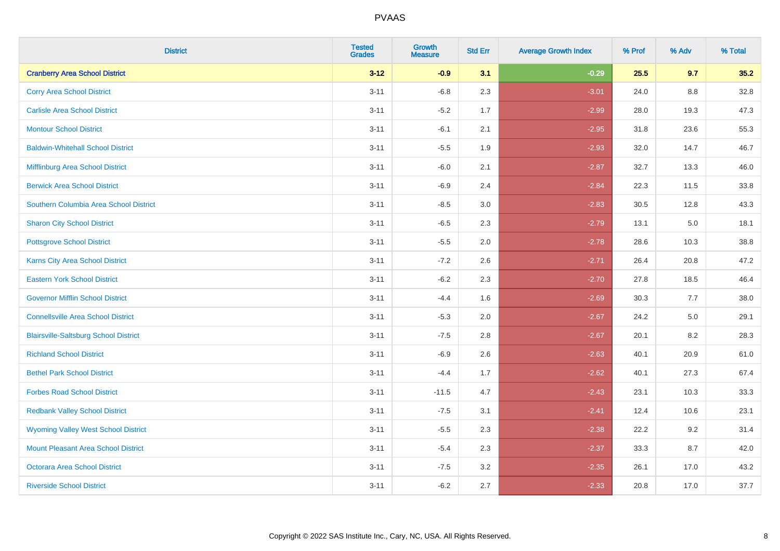| <b>District</b>                              | <b>Tested</b><br><b>Grades</b> | <b>Growth</b><br><b>Measure</b> | <b>Std Err</b> | <b>Average Growth Index</b> | % Prof | % Adv | % Total |
|----------------------------------------------|--------------------------------|---------------------------------|----------------|-----------------------------|--------|-------|---------|
| <b>Cranberry Area School District</b>        | $3 - 12$                       | $-0.9$                          | 3.1            | $-0.29$                     | 25.5   | 9.7   | 35.2    |
| <b>Corry Area School District</b>            | $3 - 11$                       | $-6.8$                          | 2.3            | $-3.01$                     | 24.0   | 8.8   | 32.8    |
| <b>Carlisle Area School District</b>         | $3 - 11$                       | $-5.2$                          | 1.7            | $-2.99$                     | 28.0   | 19.3  | 47.3    |
| <b>Montour School District</b>               | $3 - 11$                       | $-6.1$                          | 2.1            | $-2.95$                     | 31.8   | 23.6  | 55.3    |
| <b>Baldwin-Whitehall School District</b>     | $3 - 11$                       | $-5.5$                          | 1.9            | $-2.93$                     | 32.0   | 14.7  | 46.7    |
| Mifflinburg Area School District             | $3 - 11$                       | $-6.0$                          | 2.1            | $-2.87$                     | 32.7   | 13.3  | 46.0    |
| <b>Berwick Area School District</b>          | $3 - 11$                       | $-6.9$                          | 2.4            | $-2.84$                     | 22.3   | 11.5  | 33.8    |
| Southern Columbia Area School District       | $3 - 11$                       | $-8.5$                          | 3.0            | $-2.83$                     | 30.5   | 12.8  | 43.3    |
| <b>Sharon City School District</b>           | $3 - 11$                       | $-6.5$                          | 2.3            | $-2.79$                     | 13.1   | 5.0   | 18.1    |
| <b>Pottsgrove School District</b>            | $3 - 11$                       | $-5.5$                          | 2.0            | $-2.78$                     | 28.6   | 10.3  | 38.8    |
| <b>Karns City Area School District</b>       | $3 - 11$                       | $-7.2$                          | 2.6            | $-2.71$                     | 26.4   | 20.8  | 47.2    |
| <b>Eastern York School District</b>          | $3 - 11$                       | $-6.2$                          | 2.3            | $-2.70$                     | 27.8   | 18.5  | 46.4    |
| <b>Governor Mifflin School District</b>      | $3 - 11$                       | $-4.4$                          | 1.6            | $-2.69$                     | 30.3   | 7.7   | 38.0    |
| <b>Connellsville Area School District</b>    | $3 - 11$                       | $-5.3$                          | 2.0            | $-2.67$                     | 24.2   | 5.0   | 29.1    |
| <b>Blairsville-Saltsburg School District</b> | $3 - 11$                       | $-7.5$                          | 2.8            | $-2.67$                     | 20.1   | 8.2   | 28.3    |
| <b>Richland School District</b>              | $3 - 11$                       | $-6.9$                          | 2.6            | $-2.63$                     | 40.1   | 20.9  | 61.0    |
| <b>Bethel Park School District</b>           | $3 - 11$                       | $-4.4$                          | 1.7            | $-2.62$                     | 40.1   | 27.3  | 67.4    |
| <b>Forbes Road School District</b>           | $3 - 11$                       | $-11.5$                         | 4.7            | $-2.43$                     | 23.1   | 10.3  | 33.3    |
| <b>Redbank Valley School District</b>        | $3 - 11$                       | $-7.5$                          | 3.1            | $-2.41$                     | 12.4   | 10.6  | 23.1    |
| <b>Wyoming Valley West School District</b>   | $3 - 11$                       | $-5.5$                          | 2.3            | $-2.38$                     | 22.2   | 9.2   | 31.4    |
| <b>Mount Pleasant Area School District</b>   | $3 - 11$                       | $-5.4$                          | 2.3            | $-2.37$                     | 33.3   | 8.7   | 42.0    |
| <b>Octorara Area School District</b>         | $3 - 11$                       | $-7.5$                          | 3.2            | $-2.35$                     | 26.1   | 17.0  | 43.2    |
| <b>Riverside School District</b>             | $3 - 11$                       | $-6.2$                          | 2.7            | $-2.33$                     | 20.8   | 17.0  | 37.7    |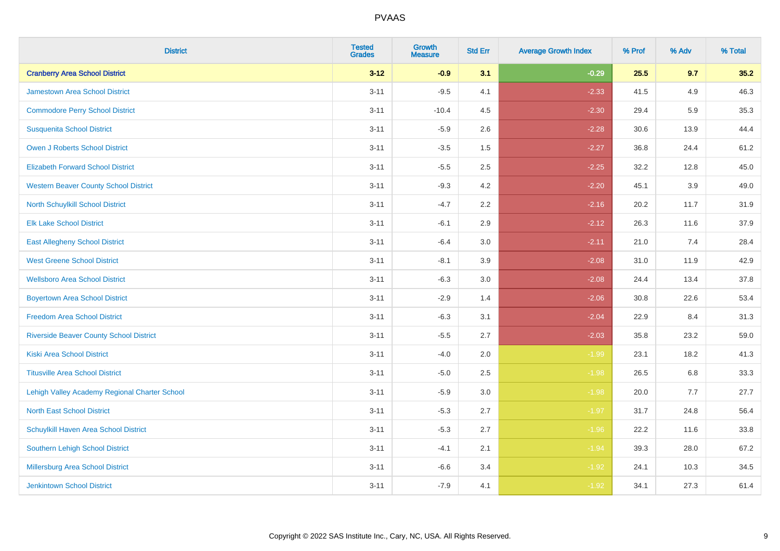| <b>District</b>                                | <b>Tested</b><br><b>Grades</b> | <b>Growth</b><br><b>Measure</b> | <b>Std Err</b> | <b>Average Growth Index</b> | % Prof | % Adv | % Total |
|------------------------------------------------|--------------------------------|---------------------------------|----------------|-----------------------------|--------|-------|---------|
| <b>Cranberry Area School District</b>          | $3 - 12$                       | $-0.9$                          | 3.1            | $-0.29$                     | 25.5   | 9.7   | 35.2    |
| <b>Jamestown Area School District</b>          | $3 - 11$                       | $-9.5$                          | 4.1            | $-2.33$                     | 41.5   | 4.9   | 46.3    |
| <b>Commodore Perry School District</b>         | $3 - 11$                       | $-10.4$                         | 4.5            | $-2.30$                     | 29.4   | 5.9   | 35.3    |
| <b>Susquenita School District</b>              | $3 - 11$                       | $-5.9$                          | 2.6            | $-2.28$                     | 30.6   | 13.9  | 44.4    |
| <b>Owen J Roberts School District</b>          | $3 - 11$                       | $-3.5$                          | 1.5            | $-2.27$                     | 36.8   | 24.4  | 61.2    |
| <b>Elizabeth Forward School District</b>       | $3 - 11$                       | $-5.5$                          | 2.5            | $-2.25$                     | 32.2   | 12.8  | 45.0    |
| <b>Western Beaver County School District</b>   | $3 - 11$                       | $-9.3$                          | 4.2            | $-2.20$                     | 45.1   | 3.9   | 49.0    |
| <b>North Schuylkill School District</b>        | $3 - 11$                       | $-4.7$                          | 2.2            | $-2.16$                     | 20.2   | 11.7  | 31.9    |
| <b>Elk Lake School District</b>                | $3 - 11$                       | $-6.1$                          | 2.9            | $-2.12$                     | 26.3   | 11.6  | 37.9    |
| <b>East Allegheny School District</b>          | $3 - 11$                       | $-6.4$                          | 3.0            | $-2.11$                     | 21.0   | 7.4   | 28.4    |
| <b>West Greene School District</b>             | $3 - 11$                       | $-8.1$                          | 3.9            | $-2.08$                     | 31.0   | 11.9  | 42.9    |
| <b>Wellsboro Area School District</b>          | $3 - 11$                       | $-6.3$                          | 3.0            | $-2.08$                     | 24.4   | 13.4  | 37.8    |
| <b>Boyertown Area School District</b>          | $3 - 11$                       | $-2.9$                          | 1.4            | $-2.06$                     | 30.8   | 22.6  | 53.4    |
| <b>Freedom Area School District</b>            | $3 - 11$                       | $-6.3$                          | 3.1            | $-2.04$                     | 22.9   | 8.4   | 31.3    |
| <b>Riverside Beaver County School District</b> | $3 - 11$                       | $-5.5$                          | 2.7            | $-2.03$                     | 35.8   | 23.2  | 59.0    |
| <b>Kiski Area School District</b>              | $3 - 11$                       | $-4.0$                          | 2.0            | $-1.99$                     | 23.1   | 18.2  | 41.3    |
| <b>Titusville Area School District</b>         | $3 - 11$                       | $-5.0$                          | 2.5            | $-1.98$                     | 26.5   | 6.8   | 33.3    |
| Lehigh Valley Academy Regional Charter School  | $3 - 11$                       | $-5.9$                          | 3.0            | $-1.98$                     | 20.0   | 7.7   | 27.7    |
| <b>North East School District</b>              | $3 - 11$                       | $-5.3$                          | 2.7            | $-1.97$                     | 31.7   | 24.8  | 56.4    |
| Schuylkill Haven Area School District          | $3 - 11$                       | $-5.3$                          | 2.7            | $-1.96$                     | 22.2   | 11.6  | 33.8    |
| Southern Lehigh School District                | $3 - 11$                       | $-4.1$                          | 2.1            | $-1.94$                     | 39.3   | 28.0  | 67.2    |
| Millersburg Area School District               | $3 - 11$                       | $-6.6$                          | 3.4            | $-1.92$                     | 24.1   | 10.3  | 34.5    |
| <b>Jenkintown School District</b>              | $3 - 11$                       | $-7.9$                          | 4.1            | $-1.92$                     | 34.1   | 27.3  | 61.4    |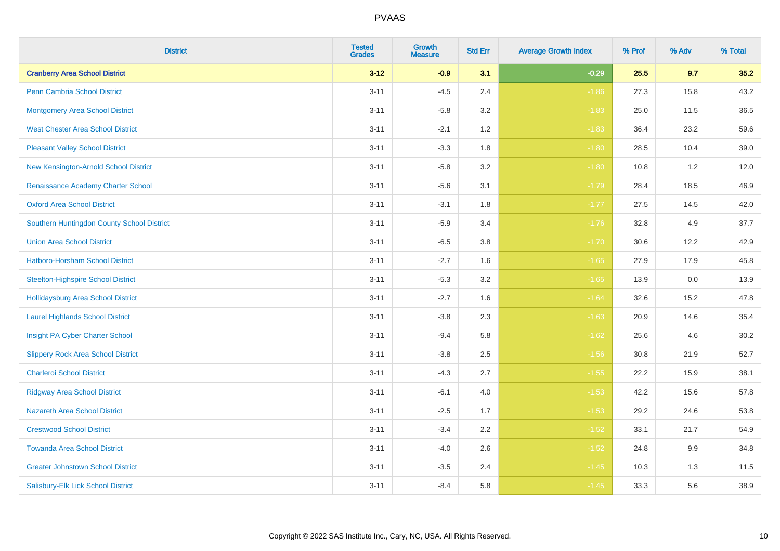| <b>District</b>                            | <b>Tested</b><br><b>Grades</b> | <b>Growth</b><br><b>Measure</b> | <b>Std Err</b> | <b>Average Growth Index</b> | % Prof | % Adv | % Total |
|--------------------------------------------|--------------------------------|---------------------------------|----------------|-----------------------------|--------|-------|---------|
| <b>Cranberry Area School District</b>      | $3 - 12$                       | $-0.9$                          | 3.1            | $-0.29$                     | 25.5   | 9.7   | 35.2    |
| <b>Penn Cambria School District</b>        | $3 - 11$                       | $-4.5$                          | 2.4            | $-1.86$                     | 27.3   | 15.8  | 43.2    |
| <b>Montgomery Area School District</b>     | $3 - 11$                       | $-5.8$                          | 3.2            | $-1.83$                     | 25.0   | 11.5  | 36.5    |
| <b>West Chester Area School District</b>   | $3 - 11$                       | $-2.1$                          | 1.2            | $-1.83$                     | 36.4   | 23.2  | 59.6    |
| <b>Pleasant Valley School District</b>     | $3 - 11$                       | $-3.3$                          | 1.8            | $-1.80$                     | 28.5   | 10.4  | 39.0    |
| New Kensington-Arnold School District      | $3 - 11$                       | $-5.8$                          | 3.2            | $-1.80$                     | 10.8   | 1.2   | 12.0    |
| Renaissance Academy Charter School         | $3 - 11$                       | $-5.6$                          | 3.1            | $-1.79$                     | 28.4   | 18.5  | 46.9    |
| <b>Oxford Area School District</b>         | $3 - 11$                       | $-3.1$                          | 1.8            | $-1.77$                     | 27.5   | 14.5  | 42.0    |
| Southern Huntingdon County School District | $3 - 11$                       | $-5.9$                          | 3.4            | $-1.76$                     | 32.8   | 4.9   | 37.7    |
| <b>Union Area School District</b>          | $3 - 11$                       | $-6.5$                          | 3.8            | $-1.70$                     | 30.6   | 12.2  | 42.9    |
| Hatboro-Horsham School District            | $3 - 11$                       | $-2.7$                          | 1.6            | $-1.65$                     | 27.9   | 17.9  | 45.8    |
| <b>Steelton-Highspire School District</b>  | $3 - 11$                       | $-5.3$                          | 3.2            | $-1.65$                     | 13.9   | 0.0   | 13.9    |
| Hollidaysburg Area School District         | $3 - 11$                       | $-2.7$                          | 1.6            | $-1.64$                     | 32.6   | 15.2  | 47.8    |
| <b>Laurel Highlands School District</b>    | $3 - 11$                       | $-3.8$                          | 2.3            | $-1.63$                     | 20.9   | 14.6  | 35.4    |
| Insight PA Cyber Charter School            | $3 - 11$                       | $-9.4$                          | 5.8            | $-1.62$                     | 25.6   | 4.6   | 30.2    |
| <b>Slippery Rock Area School District</b>  | $3 - 11$                       | $-3.8$                          | 2.5            | $-1.56$                     | 30.8   | 21.9  | 52.7    |
| <b>Charleroi School District</b>           | $3 - 11$                       | $-4.3$                          | 2.7            | $-1.55$                     | 22.2   | 15.9  | 38.1    |
| <b>Ridgway Area School District</b>        | $3 - 11$                       | $-6.1$                          | 4.0            | $-1.53$                     | 42.2   | 15.6  | 57.8    |
| <b>Nazareth Area School District</b>       | $3 - 11$                       | $-2.5$                          | 1.7            | $-1.53$                     | 29.2   | 24.6  | 53.8    |
| <b>Crestwood School District</b>           | $3 - 11$                       | $-3.4$                          | 2.2            | $-1.52$                     | 33.1   | 21.7  | 54.9    |
| <b>Towanda Area School District</b>        | $3 - 11$                       | $-4.0$                          | 2.6            | $-1.52$                     | 24.8   | 9.9   | 34.8    |
| <b>Greater Johnstown School District</b>   | $3 - 11$                       | $-3.5$                          | 2.4            | $-1.45$                     | 10.3   | 1.3   | 11.5    |
| Salisbury-Elk Lick School District         | $3 - 11$                       | $-8.4$                          | 5.8            | $-1.45$                     | 33.3   | 5.6   | 38.9    |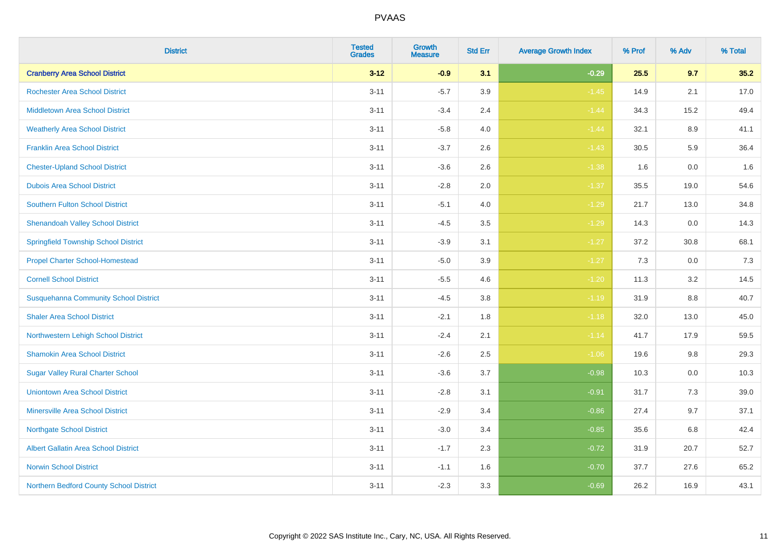| <b>District</b>                              | <b>Tested</b><br><b>Grades</b> | <b>Growth</b><br><b>Measure</b> | <b>Std Err</b> | <b>Average Growth Index</b> | % Prof | % Adv   | % Total |
|----------------------------------------------|--------------------------------|---------------------------------|----------------|-----------------------------|--------|---------|---------|
| <b>Cranberry Area School District</b>        | $3 - 12$                       | $-0.9$                          | 3.1            | $-0.29$                     | 25.5   | 9.7     | 35.2    |
| <b>Rochester Area School District</b>        | $3 - 11$                       | $-5.7$                          | 3.9            | $-1.45$                     | 14.9   | 2.1     | 17.0    |
| <b>Middletown Area School District</b>       | $3 - 11$                       | $-3.4$                          | 2.4            | $-1.44$                     | 34.3   | 15.2    | 49.4    |
| <b>Weatherly Area School District</b>        | $3 - 11$                       | $-5.8$                          | 4.0            | $-1.44$                     | 32.1   | 8.9     | 41.1    |
| <b>Franklin Area School District</b>         | $3 - 11$                       | $-3.7$                          | 2.6            | $-1.43$                     | 30.5   | 5.9     | 36.4    |
| <b>Chester-Upland School District</b>        | $3 - 11$                       | $-3.6$                          | 2.6            | $-1.38$                     | 1.6    | 0.0     | 1.6     |
| <b>Dubois Area School District</b>           | $3 - 11$                       | $-2.8$                          | 2.0            | $-1.37$                     | 35.5   | 19.0    | 54.6    |
| <b>Southern Fulton School District</b>       | $3 - 11$                       | $-5.1$                          | 4.0            | $-1.29$                     | 21.7   | 13.0    | 34.8    |
| <b>Shenandoah Valley School District</b>     | $3 - 11$                       | $-4.5$                          | 3.5            | $-1.29$                     | 14.3   | 0.0     | 14.3    |
| <b>Springfield Township School District</b>  | $3 - 11$                       | $-3.9$                          | 3.1            | $-1.27$                     | 37.2   | 30.8    | 68.1    |
| <b>Propel Charter School-Homestead</b>       | $3 - 11$                       | $-5.0$                          | 3.9            | $-1.27$                     | 7.3    | 0.0     | 7.3     |
| <b>Cornell School District</b>               | $3 - 11$                       | $-5.5$                          | 4.6            | $-1.20$                     | 11.3   | 3.2     | 14.5    |
| <b>Susquehanna Community School District</b> | $3 - 11$                       | $-4.5$                          | $3.8\,$        | $-1.19$                     | 31.9   | $8.8\,$ | 40.7    |
| <b>Shaler Area School District</b>           | $3 - 11$                       | $-2.1$                          | 1.8            | $-1.18$                     | 32.0   | 13.0    | 45.0    |
| Northwestern Lehigh School District          | $3 - 11$                       | $-2.4$                          | 2.1            | $-1.14$                     | 41.7   | 17.9    | 59.5    |
| <b>Shamokin Area School District</b>         | $3 - 11$                       | $-2.6$                          | 2.5            | $-1.06$                     | 19.6   | $9.8\,$ | 29.3    |
| <b>Sugar Valley Rural Charter School</b>     | $3 - 11$                       | $-3.6$                          | 3.7            | $-0.98$                     | 10.3   | 0.0     | 10.3    |
| <b>Uniontown Area School District</b>        | $3 - 11$                       | $-2.8$                          | 3.1            | $-0.91$                     | 31.7   | 7.3     | 39.0    |
| <b>Minersville Area School District</b>      | $3 - 11$                       | $-2.9$                          | 3.4            | $-0.86$                     | 27.4   | 9.7     | 37.1    |
| <b>Northgate School District</b>             | $3 - 11$                       | $-3.0$                          | 3.4            | $-0.85$                     | 35.6   | 6.8     | 42.4    |
| Albert Gallatin Area School District         | $3 - 11$                       | $-1.7$                          | 2.3            | $-0.72$                     | 31.9   | 20.7    | 52.7    |
| <b>Norwin School District</b>                | $3 - 11$                       | $-1.1$                          | 1.6            | $-0.70$                     | 37.7   | 27.6    | 65.2    |
| Northern Bedford County School District      | $3 - 11$                       | $-2.3$                          | 3.3            | $-0.69$                     | 26.2   | 16.9    | 43.1    |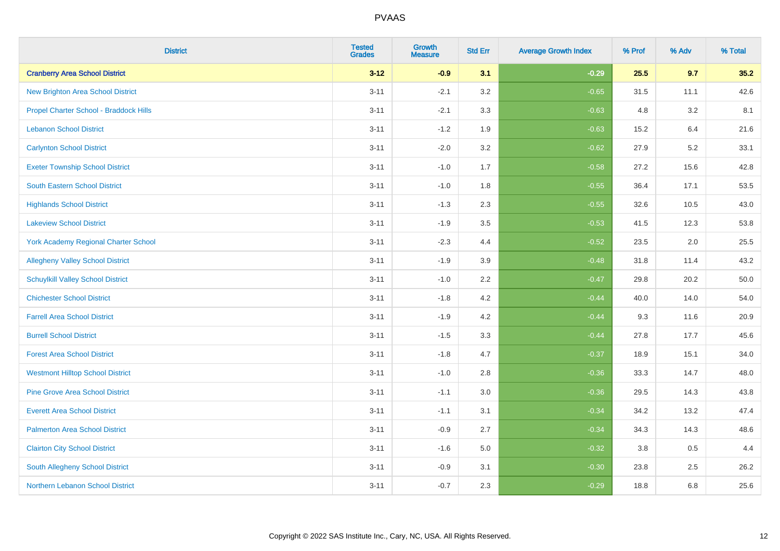| <b>District</b>                          | <b>Tested</b><br><b>Grades</b> | <b>Growth</b><br><b>Measure</b> | <b>Std Err</b> | <b>Average Growth Index</b> | % Prof | % Adv   | % Total |
|------------------------------------------|--------------------------------|---------------------------------|----------------|-----------------------------|--------|---------|---------|
| <b>Cranberry Area School District</b>    | $3 - 12$                       | $-0.9$                          | 3.1            | $-0.29$                     | 25.5   | 9.7     | 35.2    |
| <b>New Brighton Area School District</b> | $3 - 11$                       | $-2.1$                          | 3.2            | $-0.65$                     | 31.5   | 11.1    | 42.6    |
| Propel Charter School - Braddock Hills   | $3 - 11$                       | $-2.1$                          | 3.3            | $-0.63$                     | 4.8    | 3.2     | 8.1     |
| <b>Lebanon School District</b>           | $3 - 11$                       | $-1.2$                          | 1.9            | $-0.63$                     | 15.2   | 6.4     | 21.6    |
| <b>Carlynton School District</b>         | $3 - 11$                       | $-2.0$                          | 3.2            | $-0.62$                     | 27.9   | 5.2     | 33.1    |
| <b>Exeter Township School District</b>   | $3 - 11$                       | $-1.0$                          | 1.7            | $-0.58$                     | 27.2   | 15.6    | 42.8    |
| <b>South Eastern School District</b>     | $3 - 11$                       | $-1.0$                          | 1.8            | $-0.55$                     | 36.4   | 17.1    | 53.5    |
| <b>Highlands School District</b>         | $3 - 11$                       | $-1.3$                          | 2.3            | $-0.55$                     | 32.6   | 10.5    | 43.0    |
| <b>Lakeview School District</b>          | $3 - 11$                       | $-1.9$                          | 3.5            | $-0.53$                     | 41.5   | 12.3    | 53.8    |
| York Academy Regional Charter School     | $3 - 11$                       | $-2.3$                          | 4.4            | $-0.52$                     | 23.5   | $2.0\,$ | 25.5    |
| <b>Allegheny Valley School District</b>  | $3 - 11$                       | $-1.9$                          | 3.9            | $-0.48$                     | 31.8   | 11.4    | 43.2    |
| <b>Schuylkill Valley School District</b> | $3 - 11$                       | $-1.0$                          | 2.2            | $-0.47$                     | 29.8   | 20.2    | 50.0    |
| <b>Chichester School District</b>        | $3 - 11$                       | $-1.8$                          | 4.2            | $-0.44$                     | 40.0   | 14.0    | 54.0    |
| <b>Farrell Area School District</b>      | $3 - 11$                       | $-1.9$                          | 4.2            | $-0.44$                     | 9.3    | 11.6    | 20.9    |
| <b>Burrell School District</b>           | $3 - 11$                       | $-1.5$                          | 3.3            | $-0.44$                     | 27.8   | 17.7    | 45.6    |
| <b>Forest Area School District</b>       | $3 - 11$                       | $-1.8$                          | 4.7            | $-0.37$                     | 18.9   | 15.1    | 34.0    |
| <b>Westmont Hilltop School District</b>  | $3 - 11$                       | $-1.0$                          | 2.8            | $-0.36$                     | 33.3   | 14.7    | 48.0    |
| <b>Pine Grove Area School District</b>   | $3 - 11$                       | $-1.1$                          | 3.0            | $-0.36$                     | 29.5   | 14.3    | 43.8    |
| <b>Everett Area School District</b>      | $3 - 11$                       | $-1.1$                          | 3.1            | $-0.34$                     | 34.2   | 13.2    | 47.4    |
| <b>Palmerton Area School District</b>    | $3 - 11$                       | $-0.9$                          | 2.7            | $-0.34$                     | 34.3   | 14.3    | 48.6    |
| <b>Clairton City School District</b>     | $3 - 11$                       | $-1.6$                          | 5.0            | $-0.32$                     | 3.8    | 0.5     | 4.4     |
| South Allegheny School District          | $3 - 11$                       | $-0.9$                          | 3.1            | $-0.30$                     | 23.8   | 2.5     | 26.2    |
| Northern Lebanon School District         | $3 - 11$                       | $-0.7$                          | 2.3            | $-0.29$                     | 18.8   | 6.8     | 25.6    |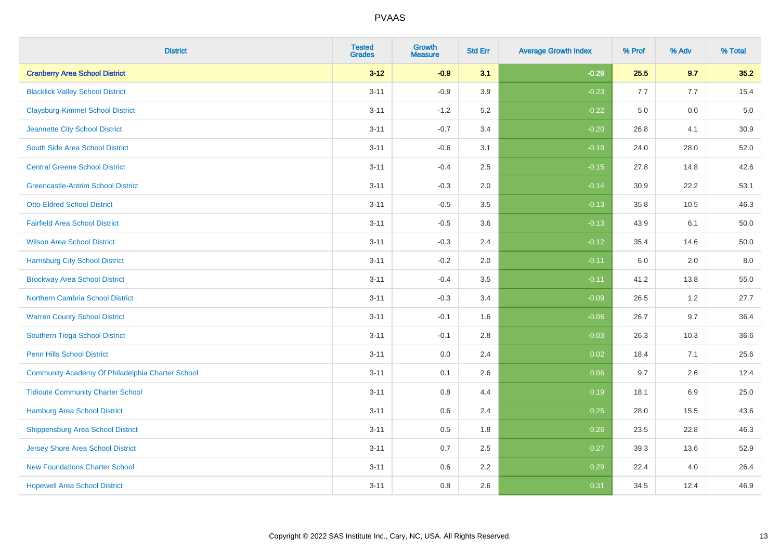| <b>District</b>                                  | <b>Tested</b><br><b>Grades</b> | <b>Growth</b><br><b>Measure</b> | <b>Std Err</b> | <b>Average Growth Index</b> | % Prof | % Adv | % Total  |
|--------------------------------------------------|--------------------------------|---------------------------------|----------------|-----------------------------|--------|-------|----------|
| <b>Cranberry Area School District</b>            | $3 - 12$                       | $-0.9$                          | 3.1            | $-0.29$                     | 25.5   | 9.7   | 35.2     |
| <b>Blacklick Valley School District</b>          | $3 - 11$                       | $-0.9$                          | 3.9            | $-0.23$                     | 7.7    | 7.7   | 15.4     |
| <b>Claysburg-Kimmel School District</b>          | $3 - 11$                       | $-1.2$                          | 5.2            | $-0.22$                     | 5.0    | 0.0   | $5.0\,$  |
| Jeannette City School District                   | $3 - 11$                       | $-0.7$                          | 3.4            | $-0.20$                     | 26.8   | 4.1   | 30.9     |
| South Side Area School District                  | $3 - 11$                       | $-0.6$                          | 3.1            | $-0.19$                     | 24.0   | 28.0  | 52.0     |
| <b>Central Greene School District</b>            | $3 - 11$                       | $-0.4$                          | 2.5            | $-0.15$                     | 27.8   | 14.8  | 42.6     |
| <b>Greencastle-Antrim School District</b>        | $3 - 11$                       | $-0.3$                          | 2.0            | $-0.14$                     | 30.9   | 22.2  | 53.1     |
| <b>Otto-Eldred School District</b>               | $3 - 11$                       | $-0.5$                          | 3.5            | $-0.13$                     | 35.8   | 10.5  | 46.3     |
| <b>Fairfield Area School District</b>            | $3 - 11$                       | $-0.5$                          | 3.6            | $-0.13$                     | 43.9   | 6.1   | 50.0     |
| <b>Wilson Area School District</b>               | $3 - 11$                       | $-0.3$                          | 2.4            | $-0.12$                     | 35.4   | 14.6  | $50.0\,$ |
| <b>Harrisburg City School District</b>           | $3 - 11$                       | $-0.2$                          | 2.0            | $-0.11$                     | 6.0    | 2.0   | 8.0      |
| <b>Brockway Area School District</b>             | $3 - 11$                       | $-0.4$                          | 3.5            | $-0.11$                     | 41.2   | 13.8  | 55.0     |
| Northern Cambria School District                 | $3 - 11$                       | $-0.3$                          | 3.4            | $-0.09$                     | 26.5   | $1.2$ | 27.7     |
| <b>Warren County School District</b>             | $3 - 11$                       | $-0.1$                          | 1.6            | $-0.06$                     | 26.7   | 9.7   | 36.4     |
| <b>Southern Tioga School District</b>            | $3 - 11$                       | $-0.1$                          | 2.8            | $-0.03$                     | 26.3   | 10.3  | 36.6     |
| <b>Penn Hills School District</b>                | $3 - 11$                       | 0.0                             | 2.4            | 0.02                        | 18.4   | 7.1   | 25.6     |
| Community Academy Of Philadelphia Charter School | $3 - 11$                       | 0.1                             | 2.6            | 0.06                        | 9.7    | 2.6   | 12.4     |
| <b>Tidioute Community Charter School</b>         | $3 - 11$                       | 0.8                             | 4.4            | 0.19                        | 18.1   | 6.9   | 25.0     |
| <b>Hamburg Area School District</b>              | $3 - 11$                       | 0.6                             | 2.4            | 0.25                        | 28.0   | 15.5  | 43.6     |
| <b>Shippensburg Area School District</b>         | $3 - 11$                       | 0.5                             | 1.8            | 0.26                        | 23.5   | 22.8  | 46.3     |
| <b>Jersey Shore Area School District</b>         | $3 - 11$                       | 0.7                             | 2.5            | 0.27                        | 39.3   | 13.6  | 52.9     |
| <b>New Foundations Charter School</b>            | $3 - 11$                       | 0.6                             | 2.2            | 0.29                        | 22.4   | 4.0   | 26.4     |
| <b>Hopewell Area School District</b>             | $3 - 11$                       | 0.8                             | 2.6            | 0.31                        | 34.5   | 12.4  | 46.9     |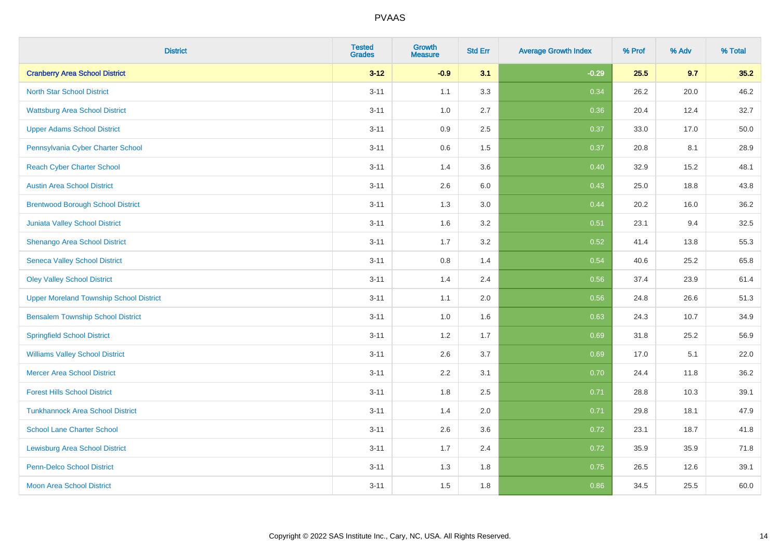| <b>District</b>                                | <b>Tested</b><br><b>Grades</b> | <b>Growth</b><br><b>Measure</b> | <b>Std Err</b> | <b>Average Growth Index</b> | % Prof | % Adv | % Total |
|------------------------------------------------|--------------------------------|---------------------------------|----------------|-----------------------------|--------|-------|---------|
| <b>Cranberry Area School District</b>          | $3 - 12$                       | $-0.9$                          | 3.1            | $-0.29$                     | 25.5   | 9.7   | 35.2    |
| <b>North Star School District</b>              | $3 - 11$                       | 1.1                             | 3.3            | 0.34                        | 26.2   | 20.0  | 46.2    |
| <b>Wattsburg Area School District</b>          | $3 - 11$                       | 1.0                             | 2.7            | 0.36                        | 20.4   | 12.4  | 32.7    |
| <b>Upper Adams School District</b>             | $3 - 11$                       | 0.9                             | 2.5            | 0.37                        | 33.0   | 17.0  | 50.0    |
| Pennsylvania Cyber Charter School              | $3 - 11$                       | 0.6                             | 1.5            | 0.37                        | 20.8   | 8.1   | 28.9    |
| <b>Reach Cyber Charter School</b>              | $3 - 11$                       | 1.4                             | 3.6            | 0.40                        | 32.9   | 15.2  | 48.1    |
| <b>Austin Area School District</b>             | $3 - 11$                       | 2.6                             | 6.0            | 0.43                        | 25.0   | 18.8  | 43.8    |
| <b>Brentwood Borough School District</b>       | $3 - 11$                       | 1.3                             | 3.0            | 0.44                        | 20.2   | 16.0  | 36.2    |
| Juniata Valley School District                 | $3 - 11$                       | 1.6                             | 3.2            | 0.51                        | 23.1   | 9.4   | 32.5    |
| Shenango Area School District                  | $3 - 11$                       | 1.7                             | 3.2            | 0.52                        | 41.4   | 13.8  | 55.3    |
| <b>Seneca Valley School District</b>           | $3 - 11$                       | 0.8                             | 1.4            | 0.54                        | 40.6   | 25.2  | 65.8    |
| <b>Oley Valley School District</b>             | $3 - 11$                       | 1.4                             | 2.4            | 0.56                        | 37.4   | 23.9  | 61.4    |
| <b>Upper Moreland Township School District</b> | $3 - 11$                       | 1.1                             | 2.0            | 0.56                        | 24.8   | 26.6  | 51.3    |
| <b>Bensalem Township School District</b>       | $3 - 11$                       | 1.0                             | 1.6            | 0.63                        | 24.3   | 10.7  | 34.9    |
| <b>Springfield School District</b>             | $3 - 11$                       | 1.2                             | 1.7            | 0.69                        | 31.8   | 25.2  | 56.9    |
| <b>Williams Valley School District</b>         | $3 - 11$                       | 2.6                             | 3.7            | 0.69                        | 17.0   | 5.1   | 22.0    |
| <b>Mercer Area School District</b>             | $3 - 11$                       | $2.2\,$                         | 3.1            | 0.70                        | 24.4   | 11.8  | 36.2    |
| <b>Forest Hills School District</b>            | $3 - 11$                       | 1.8                             | 2.5            | 0.71                        | 28.8   | 10.3  | 39.1    |
| <b>Tunkhannock Area School District</b>        | $3 - 11$                       | 1.4                             | 2.0            | 0.71                        | 29.8   | 18.1  | 47.9    |
| <b>School Lane Charter School</b>              | $3 - 11$                       | 2.6                             | 3.6            | 0.72                        | 23.1   | 18.7  | 41.8    |
| <b>Lewisburg Area School District</b>          | $3 - 11$                       | 1.7                             | 2.4            | 0.72                        | 35.9   | 35.9  | 71.8    |
| <b>Penn-Delco School District</b>              | $3 - 11$                       | 1.3                             | 1.8            | 0.75                        | 26.5   | 12.6  | 39.1    |
| <b>Moon Area School District</b>               | $3 - 11$                       | 1.5                             | 1.8            | 0.86                        | 34.5   | 25.5  | 60.0    |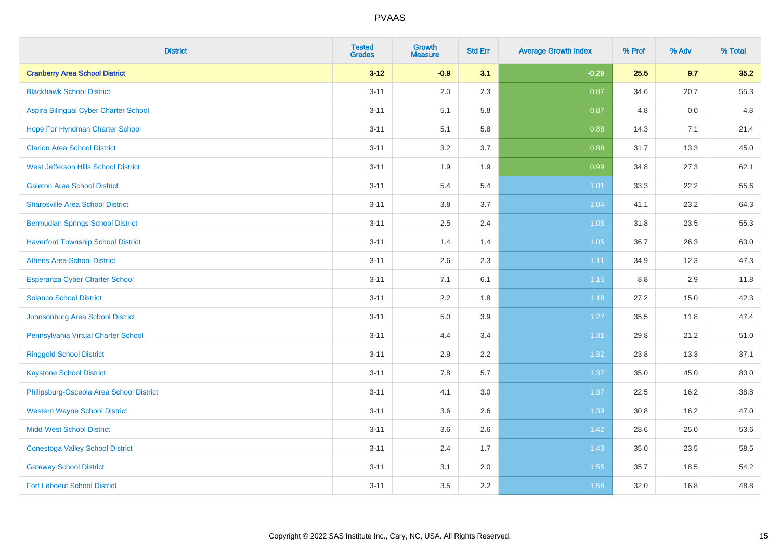| <b>District</b>                           | <b>Tested</b><br><b>Grades</b> | <b>Growth</b><br><b>Measure</b> | <b>Std Err</b> | <b>Average Growth Index</b> | % Prof | % Adv | % Total |
|-------------------------------------------|--------------------------------|---------------------------------|----------------|-----------------------------|--------|-------|---------|
| <b>Cranberry Area School District</b>     | $3 - 12$                       | $-0.9$                          | 3.1            | $-0.29$                     | 25.5   | 9.7   | 35.2    |
| <b>Blackhawk School District</b>          | $3 - 11$                       | 2.0                             | 2.3            | 0.87                        | 34.6   | 20.7  | 55.3    |
| Aspira Bilingual Cyber Charter School     | $3 - 11$                       | 5.1                             | 5.8            | 0.87                        | 4.8    | 0.0   | 4.8     |
| Hope For Hyndman Charter School           | $3 - 11$                       | 5.1                             | 5.8            | 0.88                        | 14.3   | 7.1   | 21.4    |
| <b>Clarion Area School District</b>       | $3 - 11$                       | 3.2                             | 3.7            | 0.88                        | 31.7   | 13.3  | 45.0    |
| West Jefferson Hills School District      | $3 - 11$                       | 1.9                             | 1.9            | 0.99                        | 34.8   | 27.3  | 62.1    |
| <b>Galeton Area School District</b>       | $3 - 11$                       | 5.4                             | 5.4            | $1.01$                      | 33.3   | 22.2  | 55.6    |
| <b>Sharpsville Area School District</b>   | $3 - 11$                       | 3.8                             | 3.7            | 1.04                        | 41.1   | 23.2  | 64.3    |
| <b>Bermudian Springs School District</b>  | $3 - 11$                       | 2.5                             | 2.4            | 1.05                        | 31.8   | 23.5  | 55.3    |
| <b>Haverford Township School District</b> | $3 - 11$                       | 1.4                             | 1.4            | 1.05                        | 36.7   | 26.3  | 63.0    |
| <b>Athens Area School District</b>        | $3 - 11$                       | 2.6                             | 2.3            | 1.11                        | 34.9   | 12.3  | 47.3    |
| <b>Esperanza Cyber Charter School</b>     | $3 - 11$                       | 7.1                             | 6.1            | 1.15                        | 8.8    | 2.9   | 11.8    |
| <b>Solanco School District</b>            | $3 - 11$                       | 2.2                             | 1.8            | 1.18                        | 27.2   | 15.0  | 42.3    |
| Johnsonburg Area School District          | $3 - 11$                       | $5.0\,$                         | 3.9            | 1.27                        | 35.5   | 11.8  | 47.4    |
| Pennsylvania Virtual Charter School       | $3 - 11$                       | 4.4                             | 3.4            | 1.31                        | 29.8   | 21.2  | 51.0    |
| <b>Ringgold School District</b>           | $3 - 11$                       | 2.9                             | 2.2            | 1.32                        | 23.8   | 13.3  | 37.1    |
| <b>Keystone School District</b>           | $3 - 11$                       | 7.8                             | 5.7            | 1.37                        | 35.0   | 45.0  | 80.0    |
| Philipsburg-Osceola Area School District  | $3 - 11$                       | 4.1                             | 3.0            | 1.37                        | 22.5   | 16.2  | 38.8    |
| <b>Western Wayne School District</b>      | $3 - 11$                       | 3.6                             | 2.6            | 1.39                        | 30.8   | 16.2  | 47.0    |
| <b>Midd-West School District</b>          | $3 - 11$                       | 3.6                             | 2.6            | 1.42                        | 28.6   | 25.0  | 53.6    |
| <b>Conestoga Valley School District</b>   | $3 - 11$                       | 2.4                             | 1.7            | 1.43                        | 35.0   | 23.5  | 58.5    |
| <b>Gateway School District</b>            | $3 - 11$                       | 3.1                             | 2.0            | 1.55                        | 35.7   | 18.5  | 54.2    |
| <b>Fort Leboeuf School District</b>       | $3 - 11$                       | 3.5                             | 2.2            | 1.58                        | 32.0   | 16.8  | 48.8    |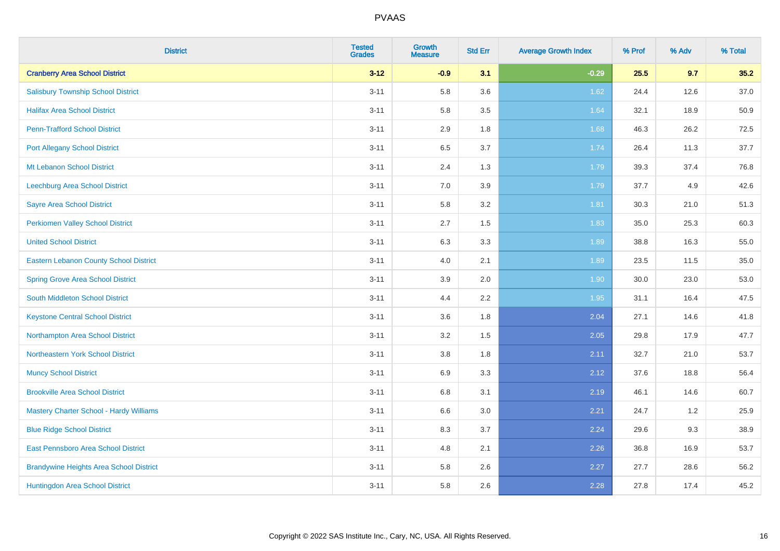| <b>District</b>                                | <b>Tested</b><br><b>Grades</b> | <b>Growth</b><br><b>Measure</b> | <b>Std Err</b> | <b>Average Growth Index</b> | % Prof | % Adv | % Total |
|------------------------------------------------|--------------------------------|---------------------------------|----------------|-----------------------------|--------|-------|---------|
| <b>Cranberry Area School District</b>          | $3 - 12$                       | $-0.9$                          | 3.1            | $-0.29$                     | 25.5   | 9.7   | 35.2    |
| <b>Salisbury Township School District</b>      | $3 - 11$                       | 5.8                             | 3.6            | 1.62                        | 24.4   | 12.6  | 37.0    |
| <b>Halifax Area School District</b>            | $3 - 11$                       | 5.8                             | 3.5            | 1.64                        | 32.1   | 18.9  | 50.9    |
| <b>Penn-Trafford School District</b>           | $3 - 11$                       | 2.9                             | 1.8            | 1.68                        | 46.3   | 26.2  | 72.5    |
| <b>Port Allegany School District</b>           | $3 - 11$                       | 6.5                             | 3.7            | 1.74                        | 26.4   | 11.3  | 37.7    |
| Mt Lebanon School District                     | $3 - 11$                       | 2.4                             | 1.3            | 1.79                        | 39.3   | 37.4  | 76.8    |
| Leechburg Area School District                 | $3 - 11$                       | 7.0                             | 3.9            | 1.79                        | 37.7   | 4.9   | 42.6    |
| <b>Sayre Area School District</b>              | $3 - 11$                       | 5.8                             | 3.2            | 1.81                        | 30.3   | 21.0  | 51.3    |
| <b>Perkiomen Valley School District</b>        | $3 - 11$                       | 2.7                             | 1.5            | 1.83                        | 35.0   | 25.3  | 60.3    |
| <b>United School District</b>                  | $3 - 11$                       | 6.3                             | 3.3            | 1.89                        | 38.8   | 16.3  | 55.0    |
| Eastern Lebanon County School District         | $3 - 11$                       | 4.0                             | 2.1            | 1.89                        | 23.5   | 11.5  | 35.0    |
| <b>Spring Grove Area School District</b>       | $3 - 11$                       | 3.9                             | 2.0            | 1.90                        | 30.0   | 23.0  | 53.0    |
| South Middleton School District                | $3 - 11$                       | 4.4                             | 2.2            | 1.95                        | 31.1   | 16.4  | 47.5    |
| <b>Keystone Central School District</b>        | $3 - 11$                       | 3.6                             | 1.8            | 2.04                        | 27.1   | 14.6  | 41.8    |
| Northampton Area School District               | $3 - 11$                       | 3.2                             | 1.5            | 2.05                        | 29.8   | 17.9  | 47.7    |
| Northeastern York School District              | $3 - 11$                       | 3.8                             | 1.8            | 2.11                        | 32.7   | 21.0  | 53.7    |
| <b>Muncy School District</b>                   | $3 - 11$                       | 6.9                             | 3.3            | 2.12                        | 37.6   | 18.8  | 56.4    |
| <b>Brookville Area School District</b>         | $3 - 11$                       | 6.8                             | 3.1            | 2.19                        | 46.1   | 14.6  | 60.7    |
| Mastery Charter School - Hardy Williams        | $3 - 11$                       | 6.6                             | 3.0            | 2.21                        | 24.7   | 1.2   | 25.9    |
| <b>Blue Ridge School District</b>              | $3 - 11$                       | 8.3                             | 3.7            | 2.24                        | 29.6   | 9.3   | 38.9    |
| East Pennsboro Area School District            | $3 - 11$                       | 4.8                             | 2.1            | 2.26                        | 36.8   | 16.9  | 53.7    |
| <b>Brandywine Heights Area School District</b> | $3 - 11$                       | 5.8                             | 2.6            | 2.27                        | 27.7   | 28.6  | 56.2    |
| Huntingdon Area School District                | $3 - 11$                       | 5.8                             | 2.6            | 2.28                        | 27.8   | 17.4  | 45.2    |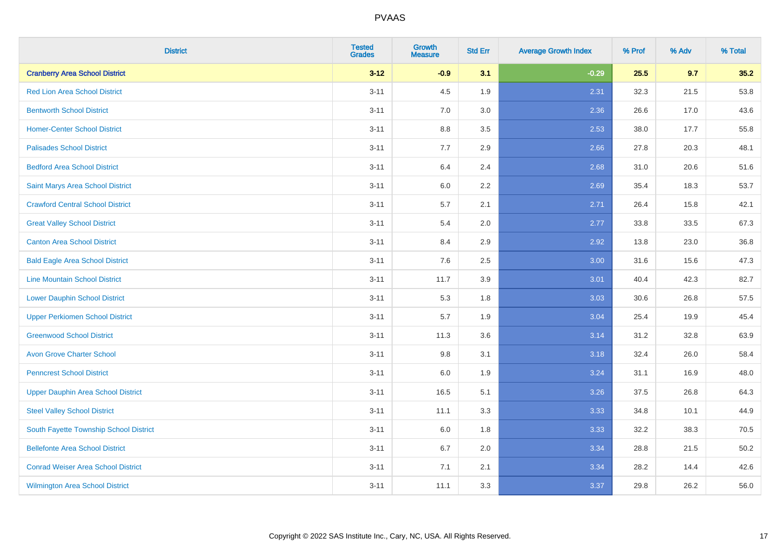| <b>District</b>                           | <b>Tested</b><br><b>Grades</b> | <b>Growth</b><br><b>Measure</b> | <b>Std Err</b> | <b>Average Growth Index</b> | % Prof | % Adv | % Total |
|-------------------------------------------|--------------------------------|---------------------------------|----------------|-----------------------------|--------|-------|---------|
| <b>Cranberry Area School District</b>     | $3 - 12$                       | $-0.9$                          | 3.1            | $-0.29$                     | 25.5   | 9.7   | 35.2    |
| <b>Red Lion Area School District</b>      | $3 - 11$                       | 4.5                             | 1.9            | 2.31                        | 32.3   | 21.5  | 53.8    |
| <b>Bentworth School District</b>          | $3 - 11$                       | 7.0                             | 3.0            | 2.36                        | 26.6   | 17.0  | 43.6    |
| <b>Homer-Center School District</b>       | $3 - 11$                       | 8.8                             | 3.5            | 2.53                        | 38.0   | 17.7  | 55.8    |
| <b>Palisades School District</b>          | $3 - 11$                       | 7.7                             | 2.9            | 2.66                        | 27.8   | 20.3  | 48.1    |
| <b>Bedford Area School District</b>       | $3 - 11$                       | 6.4                             | 2.4            | 2.68                        | 31.0   | 20.6  | 51.6    |
| Saint Marys Area School District          | $3 - 11$                       | 6.0                             | 2.2            | 2.69                        | 35.4   | 18.3  | 53.7    |
| <b>Crawford Central School District</b>   | $3 - 11$                       | 5.7                             | 2.1            | 2.71                        | 26.4   | 15.8  | 42.1    |
| <b>Great Valley School District</b>       | $3 - 11$                       | 5.4                             | 2.0            | 2.77                        | 33.8   | 33.5  | 67.3    |
| <b>Canton Area School District</b>        | $3 - 11$                       | 8.4                             | 2.9            | 2.92                        | 13.8   | 23.0  | 36.8    |
| <b>Bald Eagle Area School District</b>    | $3 - 11$                       | 7.6                             | 2.5            | 3.00                        | 31.6   | 15.6  | 47.3    |
| <b>Line Mountain School District</b>      | $3 - 11$                       | 11.7                            | 3.9            | 3.01                        | 40.4   | 42.3  | 82.7    |
| <b>Lower Dauphin School District</b>      | $3 - 11$                       | 5.3                             | 1.8            | 3.03                        | 30.6   | 26.8  | 57.5    |
| <b>Upper Perkiomen School District</b>    | $3 - 11$                       | 5.7                             | 1.9            | 3.04                        | 25.4   | 19.9  | 45.4    |
| <b>Greenwood School District</b>          | $3 - 11$                       | 11.3                            | 3.6            | 3.14                        | 31.2   | 32.8  | 63.9    |
| <b>Avon Grove Charter School</b>          | $3 - 11$                       | 9.8                             | 3.1            | 3.18                        | 32.4   | 26.0  | 58.4    |
| <b>Penncrest School District</b>          | $3 - 11$                       | 6.0                             | 1.9            | 3.24                        | 31.1   | 16.9  | 48.0    |
| <b>Upper Dauphin Area School District</b> | $3 - 11$                       | 16.5                            | 5.1            | 3.26                        | 37.5   | 26.8  | 64.3    |
| <b>Steel Valley School District</b>       | $3 - 11$                       | 11.1                            | 3.3            | 3.33                        | 34.8   | 10.1  | 44.9    |
| South Fayette Township School District    | $3 - 11$                       | 6.0                             | 1.8            | 3.33                        | 32.2   | 38.3  | 70.5    |
| <b>Bellefonte Area School District</b>    | $3 - 11$                       | 6.7                             | 2.0            | 3.34                        | 28.8   | 21.5  | 50.2    |
| <b>Conrad Weiser Area School District</b> | $3 - 11$                       | 7.1                             | 2.1            | 3.34                        | 28.2   | 14.4  | 42.6    |
| <b>Wilmington Area School District</b>    | $3 - 11$                       | 11.1                            | 3.3            | 3.37                        | 29.8   | 26.2  | 56.0    |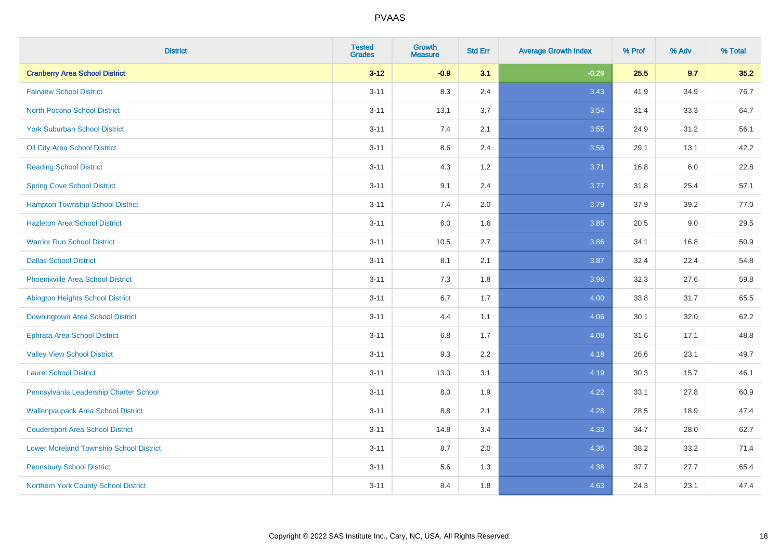| <b>District</b>                                | <b>Tested</b><br><b>Grades</b> | <b>Growth</b><br><b>Measure</b> | <b>Std Err</b> | <b>Average Growth Index</b> | % Prof | % Adv | % Total |
|------------------------------------------------|--------------------------------|---------------------------------|----------------|-----------------------------|--------|-------|---------|
| <b>Cranberry Area School District</b>          | $3 - 12$                       | $-0.9$                          | 3.1            | $-0.29$                     | 25.5   | 9.7   | 35.2    |
| <b>Fairview School District</b>                | $3 - 11$                       | 8.3                             | 2.4            | 3.43                        | 41.9   | 34.9  | 76.7    |
| <b>North Pocono School District</b>            | $3 - 11$                       | 13.1                            | 3.7            | 3.54                        | 31.4   | 33.3  | 64.7    |
| <b>York Suburban School District</b>           | $3 - 11$                       | 7.4                             | 2.1            | 3.55                        | 24.9   | 31.2  | 56.1    |
| Oil City Area School District                  | $3 - 11$                       | 8.6                             | 2.4            | 3.56                        | 29.1   | 13.1  | 42.2    |
| <b>Reading School District</b>                 | $3 - 11$                       | 4.3                             | 1.2            | 3.71                        | 16.8   | 6.0   | 22.8    |
| <b>Spring Cove School District</b>             | $3 - 11$                       | 9.1                             | 2.4            | 3.77                        | 31.8   | 25.4  | 57.1    |
| <b>Hampton Township School District</b>        | $3 - 11$                       | 7.4                             | 2.0            | 3.79                        | 37.9   | 39.2  | 77.0    |
| <b>Hazleton Area School District</b>           | $3 - 11$                       | 6.0                             | 1.6            | 3.85                        | 20.5   | 9.0   | 29.5    |
| <b>Warrior Run School District</b>             | $3 - 11$                       | 10.5                            | 2.7            | 3.86                        | 34.1   | 16.8  | 50.9    |
| <b>Dallas School District</b>                  | $3 - 11$                       | 8.1                             | 2.1            | 3.87                        | 32.4   | 22.4  | 54.8    |
| <b>Phoenixville Area School District</b>       | $3 - 11$                       | 7.3                             | 1.8            | 3.96                        | 32.3   | 27.6  | 59.8    |
| Abington Heights School District               | $3 - 11$                       | $6.7\,$                         | 1.7            | 4.00                        | 33.8   | 31.7  | 65.5    |
| Downingtown Area School District               | $3 - 11$                       | 4.4                             | 1.1            | 4.06                        | 30.1   | 32.0  | 62.2    |
| <b>Ephrata Area School District</b>            | $3 - 11$                       | 6.8                             | 1.7            | 4.08                        | 31.6   | 17.1  | 48.8    |
| <b>Valley View School District</b>             | $3 - 11$                       | 9.3                             | 2.2            | 4.18                        | 26.6   | 23.1  | 49.7    |
| <b>Laurel School District</b>                  | $3 - 11$                       | 13.0                            | 3.1            | 4.19                        | 30.3   | 15.7  | 46.1    |
| Pennsylvania Leadership Charter School         | $3 - 11$                       | 8.0                             | 1.9            | 4.22                        | 33.1   | 27.8  | 60.9    |
| <b>Wallenpaupack Area School District</b>      | $3 - 11$                       | $8.8\,$                         | 2.1            | 4.28                        | 28.5   | 18.9  | 47.4    |
| <b>Coudersport Area School District</b>        | $3 - 11$                       | 14.8                            | 3.4            | 4.33                        | 34.7   | 28.0  | 62.7    |
| <b>Lower Moreland Township School District</b> | $3 - 11$                       | 8.7                             | 2.0            | 4.35                        | 38.2   | 33.2  | 71.4    |
| <b>Pennsbury School District</b>               | $3 - 11$                       | 5.6                             | 1.3            | 4.38                        | 37.7   | 27.7  | 65.4    |
| Northern York County School District           | $3 - 11$                       | 8.4                             | 1.8            | 4.63                        | 24.3   | 23.1  | 47.4    |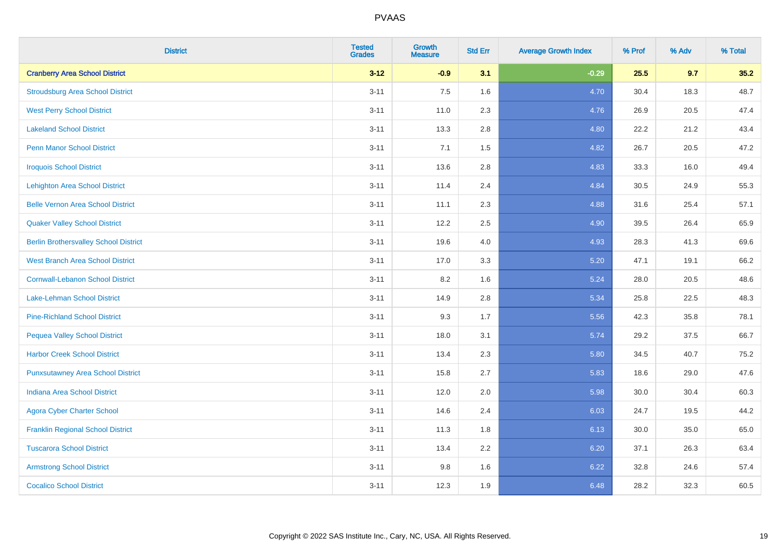| <b>District</b>                              | <b>Tested</b><br><b>Grades</b> | <b>Growth</b><br><b>Measure</b> | <b>Std Err</b> | <b>Average Growth Index</b> | % Prof | % Adv | % Total |
|----------------------------------------------|--------------------------------|---------------------------------|----------------|-----------------------------|--------|-------|---------|
| <b>Cranberry Area School District</b>        | $3 - 12$                       | $-0.9$                          | 3.1            | $-0.29$                     | 25.5   | 9.7   | 35.2    |
| <b>Stroudsburg Area School District</b>      | $3 - 11$                       | 7.5                             | 1.6            | 4.70                        | 30.4   | 18.3  | 48.7    |
| <b>West Perry School District</b>            | $3 - 11$                       | 11.0                            | 2.3            | 4.76                        | 26.9   | 20.5  | 47.4    |
| <b>Lakeland School District</b>              | $3 - 11$                       | 13.3                            | 2.8            | 4.80                        | 22.2   | 21.2  | 43.4    |
| <b>Penn Manor School District</b>            | $3 - 11$                       | 7.1                             | 1.5            | 4.82                        | 26.7   | 20.5  | 47.2    |
| <b>Iroquois School District</b>              | $3 - 11$                       | 13.6                            | 2.8            | 4.83                        | 33.3   | 16.0  | 49.4    |
| <b>Lehighton Area School District</b>        | $3 - 11$                       | 11.4                            | 2.4            | 4.84                        | 30.5   | 24.9  | 55.3    |
| <b>Belle Vernon Area School District</b>     | $3 - 11$                       | 11.1                            | 2.3            | 4.88                        | 31.6   | 25.4  | 57.1    |
| <b>Quaker Valley School District</b>         | $3 - 11$                       | 12.2                            | 2.5            | 4.90                        | 39.5   | 26.4  | 65.9    |
| <b>Berlin Brothersvalley School District</b> | $3 - 11$                       | 19.6                            | 4.0            | 4.93                        | 28.3   | 41.3  | 69.6    |
| <b>West Branch Area School District</b>      | $3 - 11$                       | 17.0                            | 3.3            | 5.20                        | 47.1   | 19.1  | 66.2    |
| <b>Cornwall-Lebanon School District</b>      | $3 - 11$                       | 8.2                             | 1.6            | 5.24                        | 28.0   | 20.5  | 48.6    |
| Lake-Lehman School District                  | $3 - 11$                       | 14.9                            | 2.8            | 5.34                        | 25.8   | 22.5  | 48.3    |
| <b>Pine-Richland School District</b>         | $3 - 11$                       | 9.3                             | 1.7            | 5.56                        | 42.3   | 35.8  | 78.1    |
| <b>Pequea Valley School District</b>         | $3 - 11$                       | 18.0                            | 3.1            | 5.74                        | 29.2   | 37.5  | 66.7    |
| <b>Harbor Creek School District</b>          | $3 - 11$                       | 13.4                            | 2.3            | 5.80                        | 34.5   | 40.7  | 75.2    |
| <b>Punxsutawney Area School District</b>     | $3 - 11$                       | 15.8                            | 2.7            | 5.83                        | 18.6   | 29.0  | 47.6    |
| <b>Indiana Area School District</b>          | $3 - 11$                       | 12.0                            | 2.0            | 5.98                        | 30.0   | 30.4  | 60.3    |
| <b>Agora Cyber Charter School</b>            | $3 - 11$                       | 14.6                            | 2.4            | 6.03                        | 24.7   | 19.5  | 44.2    |
| <b>Franklin Regional School District</b>     | $3 - 11$                       | 11.3                            | 1.8            | 6.13                        | 30.0   | 35.0  | 65.0    |
| <b>Tuscarora School District</b>             | $3 - 11$                       | 13.4                            | 2.2            | 6.20                        | 37.1   | 26.3  | 63.4    |
| <b>Armstrong School District</b>             | $3 - 11$                       | 9.8                             | 1.6            | 6.22                        | 32.8   | 24.6  | 57.4    |
| <b>Cocalico School District</b>              | $3 - 11$                       | 12.3                            | 1.9            | 6.48                        | 28.2   | 32.3  | 60.5    |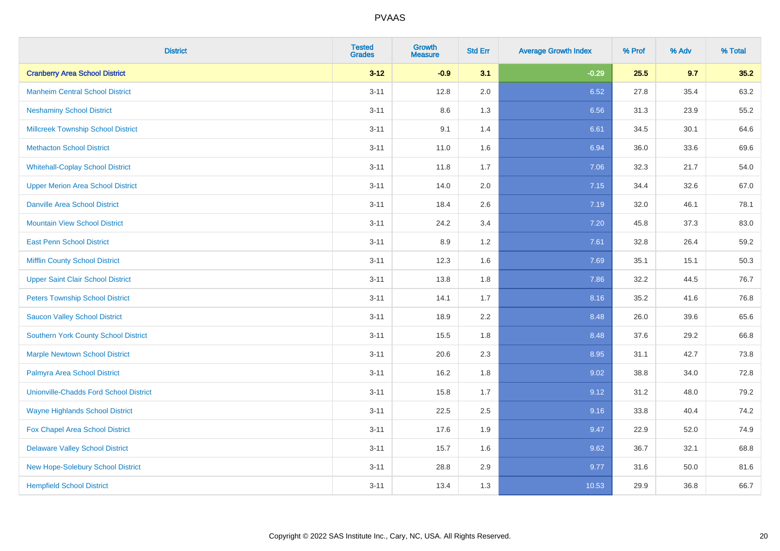| <b>District</b>                               | <b>Tested</b><br><b>Grades</b> | <b>Growth</b><br><b>Measure</b> | <b>Std Err</b> | <b>Average Growth Index</b> | % Prof | % Adv | % Total |
|-----------------------------------------------|--------------------------------|---------------------------------|----------------|-----------------------------|--------|-------|---------|
| <b>Cranberry Area School District</b>         | $3 - 12$                       | $-0.9$                          | 3.1            | $-0.29$                     | 25.5   | 9.7   | 35.2    |
| <b>Manheim Central School District</b>        | $3 - 11$                       | 12.8                            | 2.0            | 6.52                        | 27.8   | 35.4  | 63.2    |
| <b>Neshaminy School District</b>              | $3 - 11$                       | 8.6                             | 1.3            | 6.56                        | 31.3   | 23.9  | 55.2    |
| <b>Millcreek Township School District</b>     | $3 - 11$                       | 9.1                             | 1.4            | 6.61                        | 34.5   | 30.1  | 64.6    |
| <b>Methacton School District</b>              | $3 - 11$                       | 11.0                            | 1.6            | 6.94                        | 36.0   | 33.6  | 69.6    |
| <b>Whitehall-Coplay School District</b>       | $3 - 11$                       | 11.8                            | 1.7            | 7.06                        | 32.3   | 21.7  | 54.0    |
| <b>Upper Merion Area School District</b>      | $3 - 11$                       | 14.0                            | 2.0            | 7.15                        | 34.4   | 32.6  | 67.0    |
| <b>Danville Area School District</b>          | $3 - 11$                       | 18.4                            | 2.6            | 7.19                        | 32.0   | 46.1  | 78.1    |
| <b>Mountain View School District</b>          | $3 - 11$                       | 24.2                            | 3.4            | 7.20                        | 45.8   | 37.3  | 83.0    |
| <b>East Penn School District</b>              | $3 - 11$                       | 8.9                             | 1.2            | 7.61                        | 32.8   | 26.4  | 59.2    |
| <b>Mifflin County School District</b>         | $3 - 11$                       | 12.3                            | 1.6            | 7.69                        | 35.1   | 15.1  | 50.3    |
| <b>Upper Saint Clair School District</b>      | $3 - 11$                       | 13.8                            | 1.8            | 7.86                        | 32.2   | 44.5  | 76.7    |
| <b>Peters Township School District</b>        | $3 - 11$                       | 14.1                            | 1.7            | 8.16                        | 35.2   | 41.6  | 76.8    |
| <b>Saucon Valley School District</b>          | $3 - 11$                       | 18.9                            | 2.2            | 8.48                        | 26.0   | 39.6  | 65.6    |
| Southern York County School District          | $3 - 11$                       | 15.5                            | 1.8            | 8.48                        | 37.6   | 29.2  | 66.8    |
| <b>Marple Newtown School District</b>         | $3 - 11$                       | 20.6                            | 2.3            | 8.95                        | 31.1   | 42.7  | 73.8    |
| Palmyra Area School District                  | $3 - 11$                       | 16.2                            | 1.8            | 9.02                        | 38.8   | 34.0  | 72.8    |
| <b>Unionville-Chadds Ford School District</b> | $3 - 11$                       | 15.8                            | 1.7            | 9.12                        | 31.2   | 48.0  | 79.2    |
| <b>Wayne Highlands School District</b>        | $3 - 11$                       | 22.5                            | 2.5            | 9.16                        | 33.8   | 40.4  | 74.2    |
| Fox Chapel Area School District               | $3 - 11$                       | 17.6                            | 1.9            | 9.47                        | 22.9   | 52.0  | 74.9    |
| <b>Delaware Valley School District</b>        | $3 - 11$                       | 15.7                            | 1.6            | 9.62                        | 36.7   | 32.1  | 68.8    |
| New Hope-Solebury School District             | $3 - 11$                       | 28.8                            | 2.9            | 9.77                        | 31.6   | 50.0  | 81.6    |
| <b>Hempfield School District</b>              | $3 - 11$                       | 13.4                            | 1.3            | 10.53                       | 29.9   | 36.8  | 66.7    |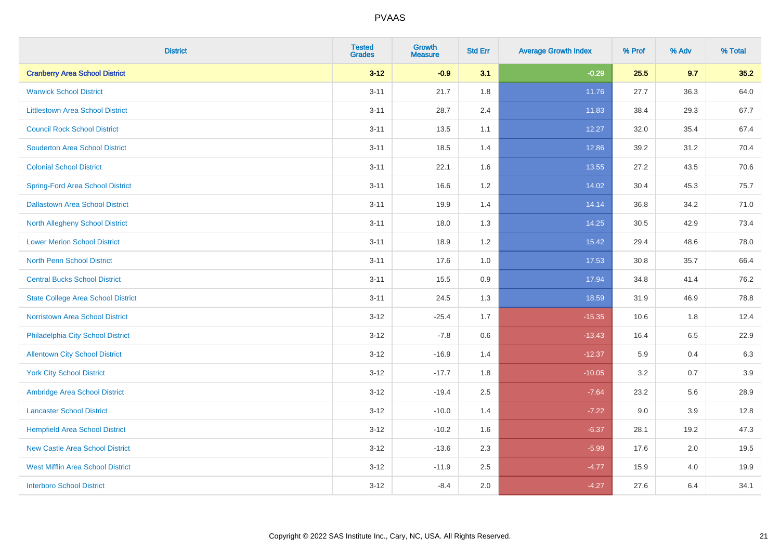| <b>District</b>                           | <b>Tested</b><br><b>Grades</b> | Growth<br><b>Measure</b> | <b>Std Err</b> | <b>Average Growth Index</b> | % Prof | % Adv | % Total |
|-------------------------------------------|--------------------------------|--------------------------|----------------|-----------------------------|--------|-------|---------|
| <b>Cranberry Area School District</b>     | $3 - 12$                       | $-0.9$                   | 3.1            | $-0.29$                     | 25.5   | 9.7   | 35.2    |
| <b>Warwick School District</b>            | $3 - 11$                       | 21.7                     | 1.8            | 11.76                       | 27.7   | 36.3  | 64.0    |
| <b>Littlestown Area School District</b>   | $3 - 11$                       | 28.7                     | 2.4            | 11.83                       | 38.4   | 29.3  | 67.7    |
| <b>Council Rock School District</b>       | $3 - 11$                       | 13.5                     | 1.1            | 12.27                       | 32.0   | 35.4  | 67.4    |
| <b>Souderton Area School District</b>     | $3 - 11$                       | 18.5                     | 1.4            | 12.86                       | 39.2   | 31.2  | 70.4    |
| <b>Colonial School District</b>           | $3 - 11$                       | 22.1                     | 1.6            | 13.55                       | 27.2   | 43.5  | 70.6    |
| <b>Spring-Ford Area School District</b>   | $3 - 11$                       | 16.6                     | 1.2            | 14.02                       | 30.4   | 45.3  | 75.7    |
| <b>Dallastown Area School District</b>    | $3 - 11$                       | 19.9                     | 1.4            | 14.14                       | 36.8   | 34.2  | 71.0    |
| <b>North Allegheny School District</b>    | $3 - 11$                       | 18.0                     | 1.3            | 14.25                       | 30.5   | 42.9  | 73.4    |
| <b>Lower Merion School District</b>       | $3 - 11$                       | 18.9                     | 1.2            | 15.42                       | 29.4   | 48.6  | 78.0    |
| <b>North Penn School District</b>         | $3 - 11$                       | 17.6                     | 1.0            | 17.53                       | 30.8   | 35.7  | 66.4    |
| <b>Central Bucks School District</b>      | $3 - 11$                       | 15.5                     | 0.9            | 17.94                       | 34.8   | 41.4  | 76.2    |
| <b>State College Area School District</b> | $3 - 11$                       | 24.5                     | 1.3            | 18.59                       | 31.9   | 46.9  | 78.8    |
| Norristown Area School District           | $3 - 12$                       | $-25.4$                  | 1.7            | $-15.35$                    | 10.6   | 1.8   | 12.4    |
| Philadelphia City School District         | $3 - 12$                       | $-7.8$                   | $0.6\,$        | $-13.43$                    | 16.4   | 6.5   | 22.9    |
| <b>Allentown City School District</b>     | $3 - 12$                       | $-16.9$                  | 1.4            | $-12.37$                    | 5.9    | 0.4   | 6.3     |
| <b>York City School District</b>          | $3 - 12$                       | $-17.7$                  | 1.8            | $-10.05$                    | 3.2    | 0.7   | 3.9     |
| Ambridge Area School District             | $3 - 12$                       | $-19.4$                  | 2.5            | $-7.64$                     | 23.2   | 5.6   | 28.9    |
| <b>Lancaster School District</b>          | $3-12$                         | $-10.0$                  | 1.4            | $-7.22$                     | 9.0    | 3.9   | 12.8    |
| <b>Hempfield Area School District</b>     | $3-12$                         | $-10.2$                  | 1.6            | $-6.37$                     | 28.1   | 19.2  | 47.3    |
| <b>New Castle Area School District</b>    | $3 - 12$                       | $-13.6$                  | 2.3            | $-5.99$                     | 17.6   | 2.0   | 19.5    |
| <b>West Mifflin Area School District</b>  | $3 - 12$                       | $-11.9$                  | 2.5            | $-4.77$                     | 15.9   | 4.0   | 19.9    |
| <b>Interboro School District</b>          | $3-12$                         | $-8.4$                   | 2.0            | $-4.27$                     | 27.6   | 6.4   | 34.1    |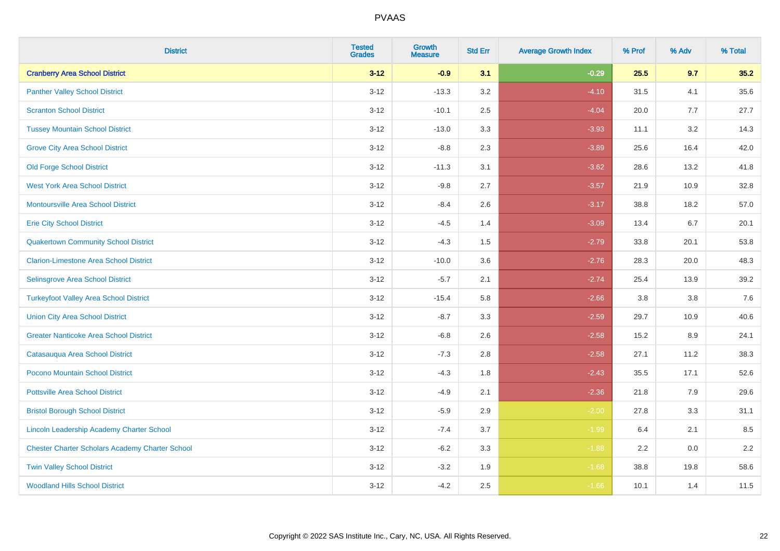| <b>District</b>                                        | <b>Tested</b><br><b>Grades</b> | <b>Growth</b><br><b>Measure</b> | <b>Std Err</b> | <b>Average Growth Index</b> | % Prof | % Adv   | % Total |
|--------------------------------------------------------|--------------------------------|---------------------------------|----------------|-----------------------------|--------|---------|---------|
| <b>Cranberry Area School District</b>                  | $3 - 12$                       | $-0.9$                          | 3.1            | $-0.29$                     | 25.5   | 9.7     | 35.2    |
| <b>Panther Valley School District</b>                  | $3 - 12$                       | $-13.3$                         | 3.2            | $-4.10$                     | 31.5   | 4.1     | 35.6    |
| <b>Scranton School District</b>                        | $3 - 12$                       | $-10.1$                         | 2.5            | $-4.04$                     | 20.0   | 7.7     | 27.7    |
| <b>Tussey Mountain School District</b>                 | $3 - 12$                       | $-13.0$                         | 3.3            | $-3.93$                     | 11.1   | 3.2     | 14.3    |
| <b>Grove City Area School District</b>                 | $3 - 12$                       | $-8.8$                          | 2.3            | $-3.89$                     | 25.6   | 16.4    | 42.0    |
| <b>Old Forge School District</b>                       | $3 - 12$                       | $-11.3$                         | 3.1            | $-3.62$                     | 28.6   | 13.2    | 41.8    |
| <b>West York Area School District</b>                  | $3 - 12$                       | $-9.8$                          | 2.7            | $-3.57$                     | 21.9   | 10.9    | 32.8    |
| <b>Montoursville Area School District</b>              | $3 - 12$                       | $-8.4$                          | 2.6            | $-3.17$                     | 38.8   | 18.2    | 57.0    |
| <b>Erie City School District</b>                       | $3 - 12$                       | $-4.5$                          | 1.4            | $-3.09$                     | 13.4   | 6.7     | 20.1    |
| <b>Quakertown Community School District</b>            | $3-12$                         | $-4.3$                          | 1.5            | $-2.79$                     | 33.8   | 20.1    | 53.8    |
| <b>Clarion-Limestone Area School District</b>          | $3-12$                         | $-10.0$                         | 3.6            | $-2.76$                     | 28.3   | 20.0    | 48.3    |
| Selinsgrove Area School District                       | $3 - 12$                       | $-5.7$                          | 2.1            | $-2.74$                     | 25.4   | 13.9    | 39.2    |
| <b>Turkeyfoot Valley Area School District</b>          | $3 - 12$                       | $-15.4$                         | 5.8            | $-2.66$                     | 3.8    | $3.8\,$ | 7.6     |
| <b>Union City Area School District</b>                 | $3 - 12$                       | $-8.7$                          | 3.3            | $-2.59$                     | 29.7   | 10.9    | 40.6    |
| <b>Greater Nanticoke Area School District</b>          | $3 - 12$                       | $-6.8$                          | 2.6            | $-2.58$                     | 15.2   | 8.9     | 24.1    |
| Catasauqua Area School District                        | $3 - 12$                       | $-7.3$                          | 2.8            | $-2.58$                     | 27.1   | 11.2    | 38.3    |
| Pocono Mountain School District                        | $3 - 12$                       | $-4.3$                          | 1.8            | $-2.43$                     | 35.5   | 17.1    | 52.6    |
| <b>Pottsville Area School District</b>                 | $3 - 12$                       | $-4.9$                          | 2.1            | $-2.36$                     | 21.8   | 7.9     | 29.6    |
| <b>Bristol Borough School District</b>                 | $3-12$                         | $-5.9$                          | 2.9            | $-2.00$                     | 27.8   | 3.3     | 31.1    |
| <b>Lincoln Leadership Academy Charter School</b>       | $3 - 12$                       | $-7.4$                          | 3.7            | $-1.99$                     | 6.4    | 2.1     | 8.5     |
| <b>Chester Charter Scholars Academy Charter School</b> | $3 - 12$                       | $-6.2$                          | 3.3            | $-1.88$                     | 2.2    | 0.0     | 2.2     |
| <b>Twin Valley School District</b>                     | $3 - 12$                       | $-3.2$                          | 1.9            | $-1.68$                     | 38.8   | 19.8    | 58.6    |
| <b>Woodland Hills School District</b>                  | $3-12$                         | $-4.2$                          | 2.5            | $-1.66$                     | 10.1   | 1.4     | 11.5    |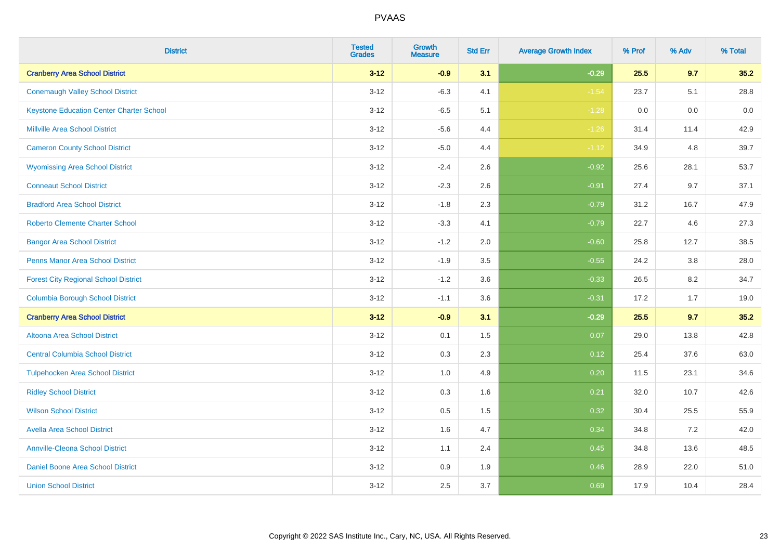| <b>District</b>                                 | <b>Tested</b><br><b>Grades</b> | <b>Growth</b><br><b>Measure</b> | <b>Std Err</b> | <b>Average Growth Index</b> | % Prof | % Adv | % Total |
|-------------------------------------------------|--------------------------------|---------------------------------|----------------|-----------------------------|--------|-------|---------|
| <b>Cranberry Area School District</b>           | $3 - 12$                       | $-0.9$                          | 3.1            | $-0.29$                     | 25.5   | 9.7   | 35.2    |
| <b>Conemaugh Valley School District</b>         | $3 - 12$                       | $-6.3$                          | 4.1            | $-1.54$                     | 23.7   | 5.1   | 28.8    |
| <b>Keystone Education Center Charter School</b> | $3 - 12$                       | $-6.5$                          | 5.1            | $-1.28$                     | 0.0    | 0.0   | 0.0     |
| <b>Millville Area School District</b>           | $3 - 12$                       | $-5.6$                          | 4.4            | $-1.26$                     | 31.4   | 11.4  | 42.9    |
| <b>Cameron County School District</b>           | $3-12$                         | $-5.0$                          | 4.4            | $-1.12$                     | 34.9   | 4.8   | 39.7    |
| <b>Wyomissing Area School District</b>          | $3 - 12$                       | $-2.4$                          | 2.6            | $-0.92$                     | 25.6   | 28.1  | 53.7    |
| <b>Conneaut School District</b>                 | $3 - 12$                       | $-2.3$                          | 2.6            | $-0.91$                     | 27.4   | 9.7   | 37.1    |
| <b>Bradford Area School District</b>            | $3 - 12$                       | $-1.8$                          | 2.3            | $-0.79$                     | 31.2   | 16.7  | 47.9    |
| <b>Roberto Clemente Charter School</b>          | $3 - 12$                       | $-3.3$                          | 4.1            | $-0.79$                     | 22.7   | 4.6   | 27.3    |
| <b>Bangor Area School District</b>              | $3 - 12$                       | $-1.2$                          | 2.0            | $-0.60$                     | 25.8   | 12.7  | 38.5    |
| <b>Penns Manor Area School District</b>         | $3 - 12$                       | $-1.9$                          | 3.5            | $-0.55$                     | 24.2   | 3.8   | 28.0    |
| <b>Forest City Regional School District</b>     | $3-12$                         | $-1.2$                          | 3.6            | $-0.33$                     | 26.5   | 8.2   | 34.7    |
| <b>Columbia Borough School District</b>         | $3 - 12$                       | $-1.1$                          | 3.6            | $-0.31$                     | 17.2   | 1.7   | 19.0    |
| <b>Cranberry Area School District</b>           | $3 - 12$                       | $-0.9$                          | 3.1            | $-0.29$                     | 25.5   | 9.7   | 35.2    |
| Altoona Area School District                    | $3 - 12$                       | 0.1                             | 1.5            | 0.07                        | 29.0   | 13.8  | 42.8    |
| <b>Central Columbia School District</b>         | $3 - 12$                       | 0.3                             | 2.3            | 0.12                        | 25.4   | 37.6  | 63.0    |
| <b>Tulpehocken Area School District</b>         | $3 - 12$                       | 1.0                             | 4.9            | 0.20                        | 11.5   | 23.1  | 34.6    |
| <b>Ridley School District</b>                   | $3 - 12$                       | 0.3                             | 1.6            | 0.21                        | 32.0   | 10.7  | 42.6    |
| <b>Wilson School District</b>                   | $3 - 12$                       | $0.5\,$                         | 1.5            | 0.32                        | 30.4   | 25.5  | 55.9    |
| <b>Avella Area School District</b>              | $3-12$                         | 1.6                             | 4.7            | 0.34                        | 34.8   | 7.2   | 42.0    |
| <b>Annville-Cleona School District</b>          | $3 - 12$                       | 1.1                             | 2.4            | 0.45                        | 34.8   | 13.6  | 48.5    |
| Daniel Boone Area School District               | $3 - 12$                       | $0.9\,$                         | 1.9            | 0.46                        | 28.9   | 22.0  | 51.0    |
| <b>Union School District</b>                    | $3-12$                         | 2.5                             | 3.7            | 0.69                        | 17.9   | 10.4  | 28.4    |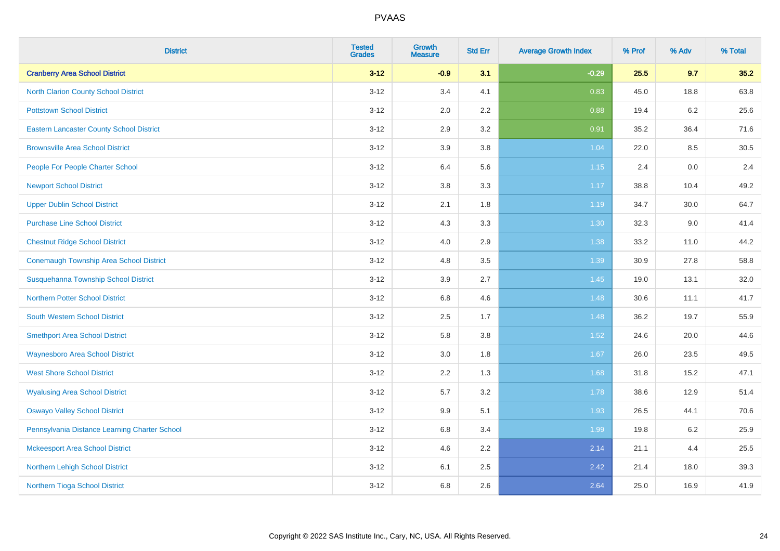| <b>District</b>                                 | <b>Tested</b><br><b>Grades</b> | <b>Growth</b><br><b>Measure</b> | <b>Std Err</b> | <b>Average Growth Index</b> | % Prof | % Adv   | % Total |
|-------------------------------------------------|--------------------------------|---------------------------------|----------------|-----------------------------|--------|---------|---------|
| <b>Cranberry Area School District</b>           | $3 - 12$                       | $-0.9$                          | 3.1            | $-0.29$                     | 25.5   | 9.7     | 35.2    |
| <b>North Clarion County School District</b>     | $3 - 12$                       | 3.4                             | 4.1            | 0.83                        | 45.0   | 18.8    | 63.8    |
| <b>Pottstown School District</b>                | $3 - 12$                       | 2.0                             | 2.2            | 0.88                        | 19.4   | 6.2     | 25.6    |
| <b>Eastern Lancaster County School District</b> | $3 - 12$                       | 2.9                             | 3.2            | 0.91                        | 35.2   | 36.4    | 71.6    |
| <b>Brownsville Area School District</b>         | $3 - 12$                       | 3.9                             | 3.8            | 1.04                        | 22.0   | 8.5     | 30.5    |
| People For People Charter School                | $3 - 12$                       | 6.4                             | 5.6            | 1.15                        | 2.4    | 0.0     | 2.4     |
| <b>Newport School District</b>                  | $3 - 12$                       | 3.8                             | 3.3            | 1.17                        | 38.8   | 10.4    | 49.2    |
| <b>Upper Dublin School District</b>             | $3 - 12$                       | 2.1                             | 1.8            | 1.19                        | 34.7   | 30.0    | 64.7    |
| <b>Purchase Line School District</b>            | $3 - 12$                       | 4.3                             | 3.3            | 1.30                        | 32.3   | $9.0\,$ | 41.4    |
| <b>Chestnut Ridge School District</b>           | $3 - 12$                       | 4.0                             | 2.9            | 1.38                        | 33.2   | 11.0    | 44.2    |
| <b>Conemaugh Township Area School District</b>  | $3 - 12$                       | 4.8                             | 3.5            | 1.39                        | 30.9   | 27.8    | 58.8    |
| Susquehanna Township School District            | $3 - 12$                       | 3.9                             | 2.7            | 1.45                        | 19.0   | 13.1    | 32.0    |
| <b>Northern Potter School District</b>          | $3 - 12$                       | 6.8                             | 4.6            | 1.48                        | 30.6   | 11.1    | 41.7    |
| <b>South Western School District</b>            | $3 - 12$                       | 2.5                             | 1.7            | 1.48                        | 36.2   | 19.7    | 55.9    |
| <b>Smethport Area School District</b>           | $3 - 12$                       | 5.8                             | 3.8            | 1.52                        | 24.6   | 20.0    | 44.6    |
| <b>Waynesboro Area School District</b>          | $3 - 12$                       | 3.0                             | 1.8            | 1.67                        | 26.0   | 23.5    | 49.5    |
| <b>West Shore School District</b>               | $3 - 12$                       | 2.2                             | 1.3            | 1.68                        | 31.8   | 15.2    | 47.1    |
| <b>Wyalusing Area School District</b>           | $3 - 12$                       | 5.7                             | 3.2            | 1.78                        | 38.6   | 12.9    | 51.4    |
| <b>Oswayo Valley School District</b>            | $3 - 12$                       | 9.9                             | 5.1            | 1.93                        | 26.5   | 44.1    | 70.6    |
| Pennsylvania Distance Learning Charter School   | $3 - 12$                       | 6.8                             | 3.4            | 1.99                        | 19.8   | 6.2     | 25.9    |
| <b>Mckeesport Area School District</b>          | $3 - 12$                       | 4.6                             | 2.2            | 2.14                        | 21.1   | 4.4     | 25.5    |
| Northern Lehigh School District                 | $3-12$                         | 6.1                             | 2.5            | 2.42                        | 21.4   | 18.0    | 39.3    |
| Northern Tioga School District                  | $3 - 12$                       | 6.8                             | 2.6            | 2.64                        | 25.0   | 16.9    | 41.9    |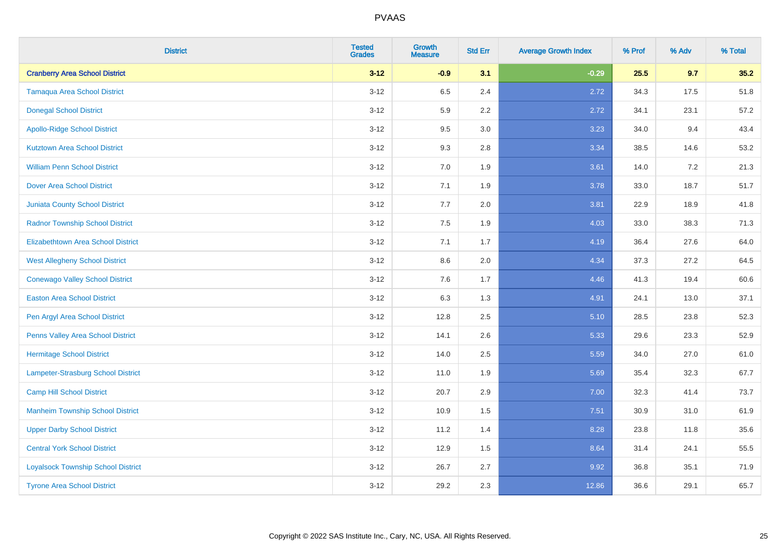| <b>District</b>                           | <b>Tested</b><br><b>Grades</b> | <b>Growth</b><br><b>Measure</b> | <b>Std Err</b> | <b>Average Growth Index</b> | % Prof | % Adv | % Total |
|-------------------------------------------|--------------------------------|---------------------------------|----------------|-----------------------------|--------|-------|---------|
| <b>Cranberry Area School District</b>     | $3 - 12$                       | $-0.9$                          | 3.1            | $-0.29$                     | 25.5   | 9.7   | 35.2    |
| <b>Tamaqua Area School District</b>       | $3 - 12$                       | 6.5                             | 2.4            | 2.72                        | 34.3   | 17.5  | 51.8    |
| <b>Donegal School District</b>            | $3 - 12$                       | 5.9                             | 2.2            | 2.72                        | 34.1   | 23.1  | 57.2    |
| <b>Apollo-Ridge School District</b>       | $3 - 12$                       | 9.5                             | 3.0            | 3.23                        | 34.0   | 9.4   | 43.4    |
| <b>Kutztown Area School District</b>      | $3 - 12$                       | 9.3                             | 2.8            | 3.34                        | 38.5   | 14.6  | 53.2    |
| <b>William Penn School District</b>       | $3 - 12$                       | 7.0                             | 1.9            | 3.61                        | 14.0   | 7.2   | 21.3    |
| <b>Dover Area School District</b>         | $3 - 12$                       | 7.1                             | 1.9            | 3.78                        | 33.0   | 18.7  | 51.7    |
| <b>Juniata County School District</b>     | $3 - 12$                       | 7.7                             | 2.0            | 3.81                        | 22.9   | 18.9  | 41.8    |
| <b>Radnor Township School District</b>    | $3 - 12$                       | 7.5                             | 1.9            | 4.03                        | 33.0   | 38.3  | 71.3    |
| <b>Elizabethtown Area School District</b> | $3 - 12$                       | 7.1                             | 1.7            | 4.19                        | 36.4   | 27.6  | 64.0    |
| <b>West Allegheny School District</b>     | $3-12$                         | 8.6                             | 2.0            | 4.34                        | 37.3   | 27.2  | 64.5    |
| <b>Conewago Valley School District</b>    | $3-12$                         | 7.6                             | 1.7            | 4.46                        | 41.3   | 19.4  | 60.6    |
| <b>Easton Area School District</b>        | $3 - 12$                       | 6.3                             | 1.3            | 4.91                        | 24.1   | 13.0  | 37.1    |
| Pen Argyl Area School District            | $3 - 12$                       | 12.8                            | 2.5            | 5.10                        | 28.5   | 23.8  | 52.3    |
| Penns Valley Area School District         | $3 - 12$                       | 14.1                            | 2.6            | 5.33                        | 29.6   | 23.3  | 52.9    |
| <b>Hermitage School District</b>          | $3 - 12$                       | 14.0                            | 2.5            | 5.59                        | 34.0   | 27.0  | 61.0    |
| <b>Lampeter-Strasburg School District</b> | $3 - 12$                       | 11.0                            | 1.9            | 5.69                        | 35.4   | 32.3  | 67.7    |
| <b>Camp Hill School District</b>          | $3 - 12$                       | 20.7                            | 2.9            | 7.00                        | 32.3   | 41.4  | 73.7    |
| <b>Manheim Township School District</b>   | $3 - 12$                       | 10.9                            | 1.5            | 7.51                        | 30.9   | 31.0  | 61.9    |
| <b>Upper Darby School District</b>        | $3 - 12$                       | 11.2                            | 1.4            | 8.28                        | 23.8   | 11.8  | 35.6    |
| <b>Central York School District</b>       | $3 - 12$                       | 12.9                            | 1.5            | 8.64                        | 31.4   | 24.1  | 55.5    |
| <b>Loyalsock Township School District</b> | $3-12$                         | 26.7                            | 2.7            | 9.92                        | 36.8   | 35.1  | 71.9    |
| <b>Tyrone Area School District</b>        | $3 - 12$                       | 29.2                            | 2.3            | 12.86                       | 36.6   | 29.1  | 65.7    |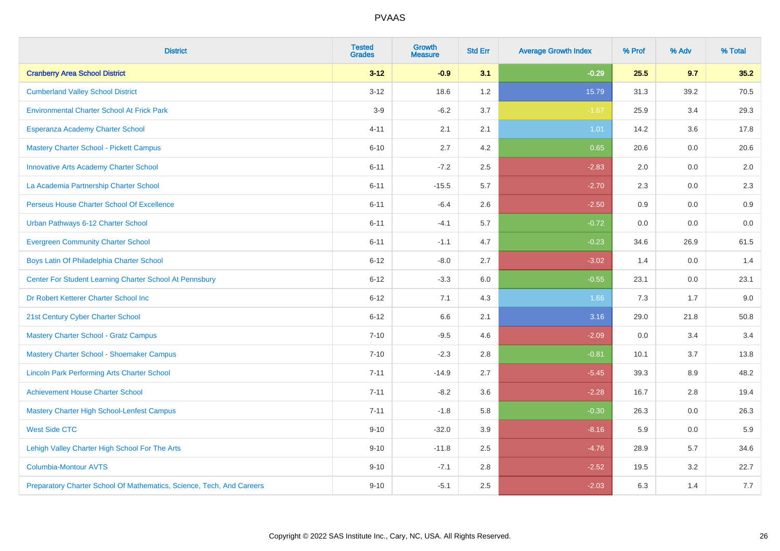| <b>District</b>                                                       | <b>Tested</b><br><b>Grades</b> | <b>Growth</b><br><b>Measure</b> | <b>Std Err</b> | <b>Average Growth Index</b> | % Prof | % Adv | % Total |
|-----------------------------------------------------------------------|--------------------------------|---------------------------------|----------------|-----------------------------|--------|-------|---------|
| <b>Cranberry Area School District</b>                                 | $3 - 12$                       | $-0.9$                          | 3.1            | $-0.29$                     | 25.5   | 9.7   | 35.2    |
| <b>Cumberland Valley School District</b>                              | $3 - 12$                       | 18.6                            | 1.2            | 15.79                       | 31.3   | 39.2  | 70.5    |
| <b>Environmental Charter School At Frick Park</b>                     | $3-9$                          | $-6.2$                          | 3.7            | $-1.67$                     | 25.9   | 3.4   | 29.3    |
| Esperanza Academy Charter School                                      | $4 - 11$                       | 2.1                             | 2.1            | 1.01                        | 14.2   | 3.6   | 17.8    |
| <b>Mastery Charter School - Pickett Campus</b>                        | $6 - 10$                       | 2.7                             | 4.2            | 0.65                        | 20.6   | 0.0   | 20.6    |
| <b>Innovative Arts Academy Charter School</b>                         | $6 - 11$                       | $-7.2$                          | 2.5            | $-2.83$                     | 2.0    | 0.0   | 2.0     |
| La Academia Partnership Charter School                                | $6 - 11$                       | $-15.5$                         | 5.7            | $-2.70$                     | 2.3    | 0.0   | 2.3     |
| Perseus House Charter School Of Excellence                            | $6 - 11$                       | $-6.4$                          | 2.6            | $-2.50$                     | 0.9    | 0.0   | 0.9     |
| Urban Pathways 6-12 Charter School                                    | $6 - 11$                       | $-4.1$                          | 5.7            | $-0.72$                     | 0.0    | 0.0   | $0.0\,$ |
| <b>Evergreen Community Charter School</b>                             | $6 - 11$                       | $-1.1$                          | 4.7            | $-0.23$                     | 34.6   | 26.9  | 61.5    |
| Boys Latin Of Philadelphia Charter School                             | $6 - 12$                       | $-8.0$                          | 2.7            | $-3.02$                     | 1.4    | 0.0   | 1.4     |
| Center For Student Learning Charter School At Pennsbury               | $6 - 12$                       | $-3.3$                          | 6.0            | $-0.55$                     | 23.1   | 0.0   | 23.1    |
| Dr Robert Ketterer Charter School Inc                                 | $6 - 12$                       | 7.1                             | 4.3            | 1.66                        | 7.3    | 1.7   | 9.0     |
| 21st Century Cyber Charter School                                     | $6 - 12$                       | 6.6                             | 2.1            | 3.16                        | 29.0   | 21.8  | 50.8    |
| <b>Mastery Charter School - Gratz Campus</b>                          | $7 - 10$                       | $-9.5$                          | 4.6            | $-2.09$                     | 0.0    | 3.4   | 3.4     |
| Mastery Charter School - Shoemaker Campus                             | $7 - 10$                       | $-2.3$                          | 2.8            | $-0.81$                     | 10.1   | 3.7   | 13.8    |
| <b>Lincoln Park Performing Arts Charter School</b>                    | $7 - 11$                       | $-14.9$                         | 2.7            | $-5.45$                     | 39.3   | 8.9   | 48.2    |
| <b>Achievement House Charter School</b>                               | $7 - 11$                       | $-8.2$                          | 3.6            | $-2.28$                     | 16.7   | 2.8   | 19.4    |
| <b>Mastery Charter High School-Lenfest Campus</b>                     | $7 - 11$                       | $-1.8$                          | 5.8            | $-0.30$                     | 26.3   | 0.0   | 26.3    |
| <b>West Side CTC</b>                                                  | $9 - 10$                       | $-32.0$                         | 3.9            | $-8.16$                     | 5.9    | 0.0   | 5.9     |
| Lehigh Valley Charter High School For The Arts                        | $9 - 10$                       | $-11.8$                         | 2.5            | $-4.76$                     | 28.9   | 5.7   | 34.6    |
| <b>Columbia-Montour AVTS</b>                                          | $9 - 10$                       | $-7.1$                          | 2.8            | $-2.52$                     | 19.5   | 3.2   | 22.7    |
| Preparatory Charter School Of Mathematics, Science, Tech, And Careers | $9 - 10$                       | $-5.1$                          | 2.5            | $-2.03$                     | 6.3    | 1.4   | 7.7     |